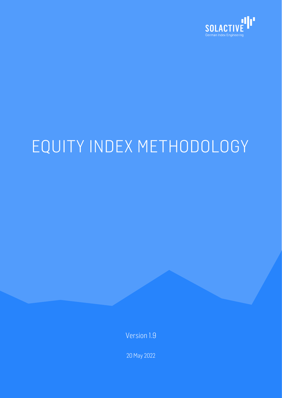

# EQUITY INDEX METHODOLOGY

Version 1.9

20 May 2022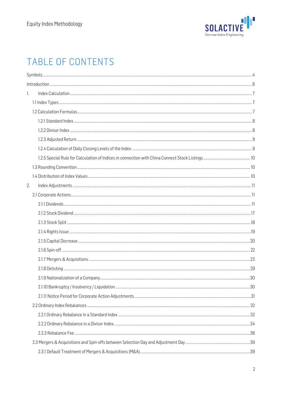

## TABLE OF CONTENTS

| 1. |  |
|----|--|
|    |  |
|    |  |
|    |  |
|    |  |
|    |  |
|    |  |
|    |  |
|    |  |
|    |  |
|    |  |
|    |  |
| 2. |  |
|    |  |
|    |  |
|    |  |
|    |  |
|    |  |
|    |  |
|    |  |
|    |  |
|    |  |
|    |  |
|    |  |
|    |  |
|    |  |
|    |  |
|    |  |
|    |  |
|    |  |
|    |  |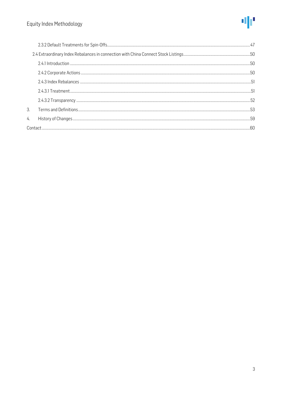

| 3. |  |
|----|--|
| 4. |  |
|    |  |
|    |  |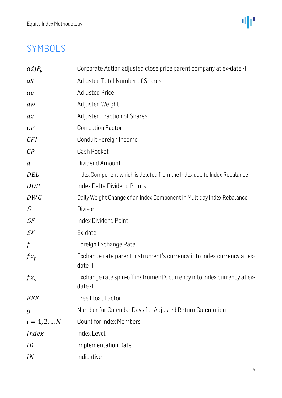业

## <span id="page-3-0"></span>SYMBOLS

| $adjP_p$         | Corporate Action adjusted close price parent company at ex-date -1                |
|------------------|-----------------------------------------------------------------------------------|
| aS               | Adjusted Total Number of Shares                                                   |
| ap               | <b>Adjusted Price</b>                                                             |
| aw               | Adjusted Weight                                                                   |
| ax               | <b>Adjusted Fraction of Shares</b>                                                |
| CF               | <b>Correction Factor</b>                                                          |
| CFI              | Conduit Foreign Income                                                            |
| $\mathcal{C}P$   | Cash Pocket                                                                       |
| $\boldsymbol{d}$ | Dividend Amount                                                                   |
| DEL              | Index Component which is deleted from the Index due to Index Rebalance            |
| <b>DDP</b>       | Index Delta Dividend Points                                                       |
| DWC              | Daily Weight Change of an Index Component in Multiday Index Rebalance             |
| D                | Divisor                                                                           |
| DP               | <b>Index Dividend Point</b>                                                       |
| EX               | Ex-date                                                                           |
| $\int$           | Foreign Exchange Rate                                                             |
| $f x_p$          | Exchange rate parent instrument's currency into index currency at ex-<br>date-1   |
| $f_{x_s}$        | Exchange rate spin-off instrument's currency into index currency at ex-<br>date-1 |
| <b>FFF</b>       | <b>Free Float Factor</b>                                                          |
| $\boldsymbol{g}$ | Number for Calendar Days for Adjusted Return Calculation                          |
| $i = 1, 2,  N$   | <b>Count for Index Members</b>                                                    |
| <i>Index</i>     | Index Level                                                                       |
| ID               | Implementation Date                                                               |
| IN               | Indicative                                                                        |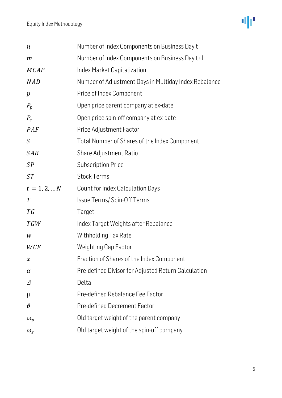

| $\, n$           | Number of Index Components on Business Day t          |
|------------------|-------------------------------------------------------|
| $\,m$            | Number of Index Components on Business Day t+1        |
| <b>MCAP</b>      | Index Market Capitalization                           |
| <b>NAD</b>       | Number of Adjustment Days in Multiday Index Rebalance |
| $\boldsymbol{p}$ | Price of Index Component                              |
| $P_p$            | Open price parent company at ex-date                  |
| $P_{\rm s}$      | Open price spin-off company at ex-date                |
| PAF              | Price Adjustment Factor                               |
| $\mathcal{S}$    | Total Number of Shares of the Index Component         |
| <b>SAR</b>       | Share Adjustment Ratio                                |
| SP               | <b>Subscription Price</b>                             |
| ST               | <b>Stock Terms</b>                                    |
| $t = 1, 2,  N$   | Count for Index Calculation Days                      |
| T                | Issue Terms/ Spin-Off Terms                           |
| T G              | Target                                                |
| <b>TGW</b>       | Index Target Weights after Rebalance                  |
| W                | Withholding Tax Rate                                  |
| WCF              | <b>Weighting Cap Factor</b>                           |
| $\pmb{\chi}$     | Fraction of Shares of the Index Component             |
| $\alpha$         | Pre-defined Divisor for Adjusted Return Calculation   |
| Δ                | Delta                                                 |
| μ                | Pre-defined Rebalance Fee Factor                      |
| $\vartheta$      | <b>Pre-defined Decrement Factor</b>                   |
| $\omega_p$       | Old target weight of the parent company               |
| $\omega_{\rm s}$ | Old target weight of the spin-off company             |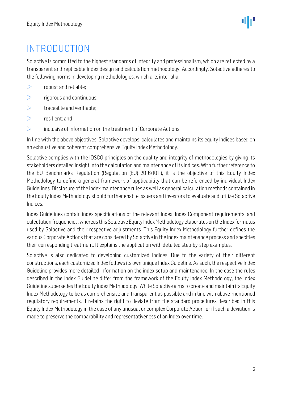ΨР

## <span id="page-5-0"></span>INTRODUCTION

Solactive is committed to the highest standards of integrity and professionalism, which are reflected by a transparent and replicable Index design and calculation methodology. Accordingly, Solactive adheres to the following norms in developing methodologies, which are, inter alia:

- $\geq$ robust and reliable;
- $\geq$ rigorous and continuous;
- $\qquad \qquad \geq$ traceable and verifiable;
- $\geq$ resilient; and
- $\geq$ inclusive of information on the treatment of Corporate Actions.

In line with the above objectives, Solactive develops, calculates and maintains its equity Indices based on an exhaustive and coherent comprehensive Equity Index Methodology.

Solactive complies with the IOSCO principles on the quality and integrity of methodologies by giving its stakeholders detailed insight into the calculation and maintenance of its Indices. With further reference to the EU Benchmarks Regulation (Regulation (EU) 2016/1011), it is the objective of this Equity Index Methodology to define a general framework of applicability that can be referenced by individual Index Guidelines. Disclosure of the index maintenance rules as well as general calculation methods contained in the Equity Index Methodology should further enable issuers and investors to evaluate and utilize Solactive Indices.

Index Guidelines contain index specifications of the relevant Index, Index Component requirements, and calculation frequencies,whereas this Solactive Equity Index Methodology elaborates on the Index formulas used by Solactive and their respective adjustments. This Equity Index Methodology further defines the various Corporate Actions that are considered by Solactive in the index maintenance process and specifies their corresponding treatment. It explains the application with detailed step-by-step examples.

Solactive is also dedicated to developing customized Indices. Due to the variety of their different constructions, each customized Index follows its own unique Index Guideline. As such, the respective Index Guideline provides more detailed information on the index setup and maintenance. In the case the rules described in the Index Guideline differ from the framework of the Equity Index Methodology, the Index Guideline supersedes the Equity Index Methodology. While Solactive aims to create and maintain its Equity Index Methodology to be as comprehensive and transparent as possible and in line with above-mentioned regulatory requirements, it retains the right to deviate from the standard procedures described in this Equity Index Methodology in the case of any unusual or complex Corporate Action, or if such a deviation is made to preserve the comparability and representativeness of an Index over time.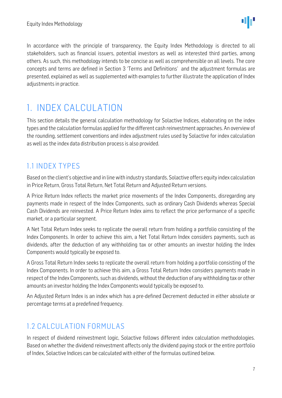In accordance with the principle of transparency, the Equity Index Methodology is directed to all stakeholders, such as financial issuers, potential investors as well as interested third parties, among others. As such, this methodology intends to be concise as well as comprehensible on all levels. The core concepts and terms are defined in Section 3 'Terms and Definitions' and the adjustment formulas are presented, explained as well as supplemented with examples to further illustrate the application of Index adjustments in practice.

## <span id="page-6-0"></span>1. INDEX CALCULATION

This section details the general calculation methodology for Solactive Indices, elaborating on the index types and the calculation formulas applied for the different cash reinvestment approaches. An overview of the rounding, settlement conventions and index adjustment rules used by Solactive for index calculation as well as the index data distribution process is also provided.

## <span id="page-6-1"></span>1.1 INDEX TYPES

Based on the client's objective and in line with industry standards, Solactive offers equity index calculation in Price Return, Gross Total Return, Net Total Return and Adjusted Return versions.

A Price Return Index reflects the market price movements of the Index Components, disregarding any payments made in respect of the Index Components, such as ordinary Cash Dividends whereas Special Cash Dividends are reinvested. A Price Return Index aims to reflect the price performance of a specific market, or a particular segment.

A Net Total Return Index seeks to replicate the overall return from holding a portfolio consisting of the Index Components. In order to achieve this aim, a Net Total Return Index considers payments, such as dividends, after the deduction of any withholding tax or other amounts an investor holding the Index Components would typically be exposed to.

A Gross Total Return Index seeks to replicate the overall return from holding a portfolio consisting of the Index Components. In order to achieve this aim, a Gross Total Return Index considers payments made in respect of the Index Components, such as dividends, without the deduction of any withholding tax or other amounts an investor holding the Index Components would typically be exposed to.

An Adjusted Return Index is an index which has a pre-defined Decrement deducted in either absolute or percentage terms at a predefined frequency.

## <span id="page-6-2"></span>1.2 CALCULATION FORMULAS

In respect of dividend reinvestment logic, Solactive follows different index calculation methodologies. Based on whether the dividend reinvestment affects only the dividend paying stock or the entire portfolio of Index, Solactive Indices can be calculated with either of the formulas outlined below.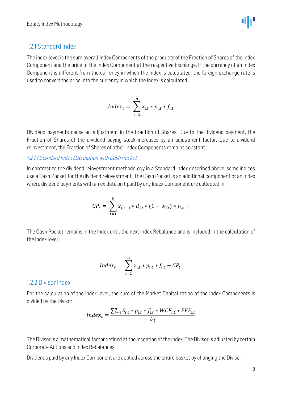$$
\Psi_{\rm{eff}}
$$

#### <span id="page-7-0"></span>1.2.1 Standard Index

The index level is the sum overall Index Components of the products of the Fraction of Shares of the Index Component and the price of the Index Component at the respective Exchange. If the currency of an Index Component is different from the currency in which the Index is calculated, the foreign exchange rate is used to convert the price into the currency in which the Index is calculated.

$$
Index_t = \sum_{i=1}^{n} x_{i,t} * p_{i,t} * f_{i,t}
$$

Dividend payments cause an adjustment in the Fraction of Shares. Due to the dividend payment, the Fraction of Shares of the dividend paying stock increases by an adjustment factor. Due to dividend reinvestment, the Fraction of Shares of other Index Components remains constant.

1.2.1.1 Standard Index Calculation with Cash Pocket

In contrast to the dividend reinvestment methodology in a Standard Index described above, some indices use a Cash Pocket for the dividend reinvestment. The Cash Pocket is an additional component of an Index where dividend payments with an ex-date on t paid by any Index Component are collected in.

$$
CP_{t} = \sum_{i=1}^{n} x_{i,t-1} * d_{i,t} * (1 - w_{i,t}) * f_{i,t-1}
$$

The Cash Pocket remains in the Index until the next Index Rebalance and is included in the calculation of the index level.

$$
Index_t = \sum_{i=1}^{n} x_{i,t} * p_{i,t} * f_{i,t} + CP_t
$$

#### <span id="page-7-1"></span>1.2.2 Divisor Index

For the calculation of the index level, the sum of the Market Capitalization of the Index Components is divided by the Divisor.

$$
Index_t = \frac{\sum_{i=1}^{n} S_{i,t} * p_{i,t} * f_{i,t} * WCF_{i,t} * FFF_{i,t}}{D_t}
$$

The Divisor is a mathematical factor defined at the inception of the Index. The Divisor is adjusted by certain Corporate Actions and Index Rebalances.

Dividends paid by any Index Component are applied across the entire basket by changing the Divisor.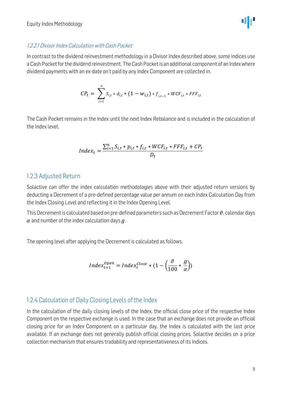$$
\Psi^{\mu}
$$

#### 1.2.2.1 Divisor Index Calculation with Cash Pocket

In contrast to the dividend reinvestment methodology in a Divisor Index described above, some indices use a Cash Pocket for the dividend reinvestment. The Cash Pocket is an additional component of an Index where dividend payments with an ex-date on t paid by any Index Component are collected in.

$$
CP_t = \sum_{i=1}^{n} S_{i,t} * d_{i,t} * (1 - w_{i,t}) * f_{i,t-1} * WCF_{i,t} * FFF_{i,t}
$$

The Cash Pocket remains in the Index until the next Index Rebalance and is included in the calculation of the index level.

$$
Index_t = \frac{\sum_{i=1}^{n} S_{i,t} * p_{i,t} * f_{i,t} * WCF_{i,t} * FFF_{i,t} + CP_t}{D_t}
$$

#### <span id="page-8-0"></span>1.2.3 Adjusted Return

Solactive can offer the index calculation methodologies above with their adjusted return versions by deducting a Decrement of a pre-defined percentage value per annum on each Index Calculation Day from the Index Closing Level and reflecting it in the Index Opening Level.

This Decrement is calculated based on pre-defined parameters such as Decrement Factor  $\vartheta$ , calendar days  $\alpha$  and number of the index calculation days  $q$ .

The opening level after applying the Decrement is calculated as follows.

$$
Index_{t+1}^{Open} = Index_{t}^{Close} * (1 - \left(\frac{\vartheta}{100} * \frac{g}{\alpha}\right))
$$

#### <span id="page-8-1"></span>1.2.4 Calculation of Daily Closing Levels of the Index

In the calculation of the daily closing levels of the Index, the official close price of the respective Index Component on the respective exchange is used. In the case that an exchange does not provide an official closing price for an Index Component on a particular day, the Index is calculated with the last price available. If an exchange does not generally publish official closing prices, Solactive decides on a price collection mechanism that ensures tradability and representativeness of its Indices.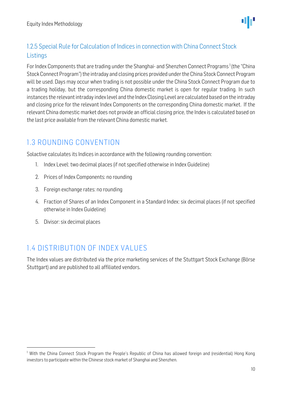

## <span id="page-9-0"></span>1.2.5 Special Rule for Calculation of Indices in connection with China Connect Stock **Listings**

For Index Components that are trading under the Shanghai- and Shenzhen Connect Programs<sup>1</sup> (the "China Stock Connect Program") the intraday and closing prices provided under the China Stock Connect Program will be used. Days may occur when trading is not possible under the China Stock Connect Program due to a trading holiday, but the corresponding China domestic market is open for regular trading. In such instances the relevant intraday index level and the Index Closing Level are calculated based on the intraday and closing price for the relevant Index Components on the corresponding China domestic market. If the relevant China domestic market does not provide an official closing price, the Index is calculated based on the last price available from the relevant China domestic market.

## <span id="page-9-1"></span>1.3 ROUNDING CONVENTION

Solactive calculates its Indices in accordance with the following rounding convention:

- 1. Index Level: two decimal places (if not specified otherwise in Index Guideline)
- 2. Prices of Index Components: no rounding
- 3. Foreign exchange rates: no rounding
- 4. Fraction of Shares of an Index Component in a Standard Index: six decimal places (if not specified otherwise in Index Guideline)
- 5. Divisor: six decimal places

## <span id="page-9-2"></span>1.4 DISTRIBUTION OF INDEX VALUES

The Index values are distributed via the price marketing services of the Stuttgart Stock Exchange (Börse Stuttgart) and are published to all affiliated vendors.

<sup>&</sup>lt;sup>1</sup> With the China Connect Stock Program the People's Republic of China has allowed foreign and (residential) Hong Kong investors to participate within the Chinese stock market of Shanghai and Shenzhen.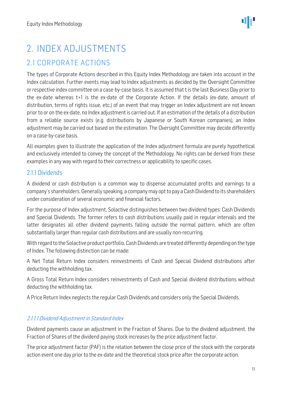## <span id="page-10-0"></span>2. INDEX ADJUSTMENTS

## <span id="page-10-1"></span>2.1 CORPORATE ACTIONS

The types of Corporate Actions described in this Equity Index Methodology are taken into account in the Index calculation. Further events may lead to Index adjustments as decided by the Oversight Committee or respective index committee on a case-by-case basis. It is assumed that t is the last Business Day prior to the ex-date whereas t+1 is the ex-date of the Corporate Action. If the details (ex-date, amount of distribution, terms of rights issue, etc.) of an event that may trigger an Index adjustment are not known prior to or on the ex-date, no Index adjustment is carried out. If an estimation of the details of a distribution from a reliable source exists (e.g. distributions by Japanese or South Korean companies), an Index adjustment may be carried out based on the estimation. The Oversight Committee may decide differently on a case-by-case basis.

All examples given to illustrate the application of the Index adjustment formula are purely hypothetical and exclusively intended to convey the concept of the Methodology. No rights can be derived from these examples in any way with regard to their correctness or applicability to specific cases.

#### <span id="page-10-2"></span>2.1.1 Dividends

A dividend or cash distribution is a common way to dispense accumulated profits and earnings to a company's shareholders. Generally speaking, a company may opt to pay a Cash Dividend to its shareholders under consideration of several economic and financial factors.

For the purpose of Index adjustment, Solactive distinguishes between two dividend types: Cash Dividends and Special Dividends. The former refers to cash distributions usually paid in regular intervals and the latter designates all other dividend payments falling outside the normal pattern, which are often substantially larger than regular cash distributions and are usually non-recurring.

With regard to the Solactive product portfolio, Cash Dividends are treated differently depending on the type of Index. The following distinction can be made:

A Net Total Return Index considers reinvestments of Cash and Special Dividend distributions after deducting the withholding tax.

A Gross Total Return Index considers reinvestments of Cash and Special dividend distributions without deducting the withholding tax.

A Price Return Index neglects the regular Cash Dividends and considers only the Special Dividends.

#### 2.1.1.1 Dividend Adjustment in Standard Index

Dividend payments cause an adjustment in the Fraction of Shares. Due to the dividend adjustment, the Fraction of Shares of the dividend paying stock increases by the price adjustment factor.

The price adjustment factor (PAF) is the relation between the close price of the stock with the corporate action event one day prior to the ex-date and the theoretical stock price after the corporate action.

ΦF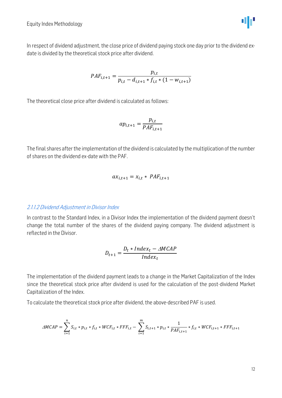In respect of dividend adjustment, the close price of dividend paying stock one day prior to the dividend exdate is divided by the theoretical stock price after dividend.

$$
PAF_{i,t+1} = \frac{p_{i,t}}{p_{i,t} - d_{i,t+1} * f_{i,t} * (1 - w_{i,t+1})}
$$

The theoretical close price after dividend is calculated as follows:

$$
ap_{i,t+1} = \frac{p_{i,t}}{PAF_{i,t+1}}
$$

The final shares after the implementation of the dividend is calculated by the multiplication of the number of shares on the dividend ex-date with the PAF.

$$
ax_{i,t+1} = x_{i,t} * PAF_{i,t+1}
$$

#### 2.1.1.2 Dividend Adjustment in Divisor Index

In contrast to the Standard Index, in a Divisor Index the implementation of the dividend payment doesn't change the total number of the shares of the dividend paying company. The dividend adjustment is reflected in the Divisor.

$$
D_{t+1} = \frac{D_t * Index_t - \triangle MCAP}{Index_t}
$$

The implementation of the dividend payment leads to a change in the Market Capitalization of the Index since the theoretical stock price after dividend is used for the calculation of the post-dividend Market Capitalization of the Index.

To calculate the theoretical stock price after dividend, the above-described PAF is used.

$$
\triangle MCAP = \sum_{i=1}^{n} S_{i,t} * p_{i,t} * f_{i,t} * WCF_{i,t} * FFF_{i,t} - \sum_{i=1}^{m} S_{i,t+1} * p_{i,t} * \frac{1}{PAF_{i,t+1}} * f_{i,t} * WCF_{i,t+1} * FFF_{i,t+1}
$$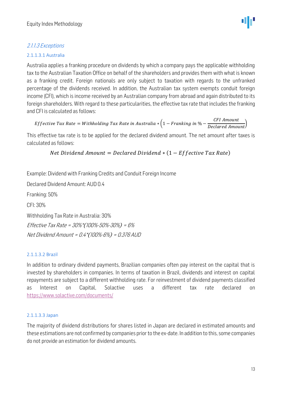#### 2.1.1.3 Exceptions

#### 2.1.1.3.1 Australia

Australia applies a franking procedure on dividends by which a company pays the applicable withholding tax to the Australian Taxation Office on behalf of the shareholders and provides them with what is known as a franking credit. Foreign nationals are only subject to taxation with regards to the unfranked percentage of the dividends received. In addition, the Australian tax system exempts conduit foreign income (CFI), which is income received by an Australian company from abroad and again distributed to its foreign shareholders. With regard to these particularities, the effective tax rate that includes the franking and CFI is calculated as follows:

```
Effective Tax Rate = Withholding Tax Rate in Australia \ast \left( 1 - Franking in \% - \dfrac{CFI\ Amount}{Declared\ Amount} \right)
```
This effective tax rate is to be applied for the declared dividend amount. The net amount after taxes is calculated as follows:

```
Net Dividend Amount = Declared Dividend *(1 - Effective Tax Rate)
```
Example: Dividend with Franking Credits and Conduit Foreign Income

Declared Dividend Amount: AUD 0.4

Franking: 50%

CFI: 30%

Withholding Tax Rate in Australia: 30%

Effective Tax Rate <sup>=</sup> 30%\*(100%-50%-30%) <sup>=</sup> 6% Net Dividend Amount <sup>=</sup> 0.4\*(100%-6%) <sup>=</sup> 0.376 AUD

#### 2.1.1.3.2 Brazil

In addition to ordinary dividend payments, Brazilian companies often pay interest on the capital that is invested by shareholders in companies. In terms of taxation in Brazil, dividends and interest on capital repayments are subject to a different withholding rate. For reinvestment of dividend payments classified as Interest on Capital, Solactive uses a different tax rate declared on <https://www.solactive.com/documents/>

#### 2.1.1.3.3 Japan

The majority of dividend distributions for shares listed in Japan are declared in estimated amounts and these estimations are not confirmed by companies prior to the ex-date. In addition to this, some companies do not provide an estimation for dividend amounts.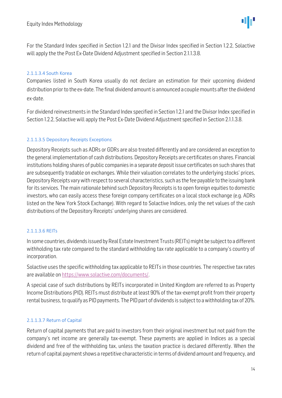For the Standard Index specified in Section 1.2.1 and the Divisor Index specified in Section 1.2.2, Solactive will apply the the Post Ex-Date Dividend Adjustment specified in Section 2.1.1.3.8.

#### 2.1.1.3.4 South Korea

Companies listed in South Korea usually do not declare an estimation for their upcoming dividend distribution prior to the ex-date. The final dividend amount is announced a couple mounts after the dividend ex-date.

For dividend reinvestments in the Standard Index specified in Section 1.2.1 and the Divisor Index specified in Section 1.2.2, Solactive will apply the Post Ex-Date Dividend Adjustment specified in Section 2.1.1.3.8.

#### 2.1.1.3.5 Depository Receipts Exceptions

Depository Receipts such as ADRs or GDRs are also treated differently and are considered an exception to the general implementation of cash distributions. Depository Receipts are certificates on shares. Financial institutions holding shares of public companies in a separate deposit issue certificates on such shares that are subsequently tradable on exchanges. While their valuation correlates to the underlying stocks' prices, Depository Receipts vary with respect to several characteristics, such as the fee payable to the issuing bank for its services. The main rationale behind such Depository Receipts is to open foreign equities to domestic investors, who can easily access these foreign company certificates on a local stock exchange (e.g. ADRs listed on the New York Stock Exchange). With regard to Solactive Indices, only the net values of the cash distributions of the Depository Receipts' underlying shares are considered.

#### 2.1.1.3.6 REITs

In some countries, dividends issued by Real Estate Investment Trusts (REITs) might be subject to a different withholding tax rate compared to the standard withholding tax rate applicable to a company's country of incorporation.

Solactive uses the specific withholding tax applicable to REITs in those countries. The respective tax rates are available on [https://www.solactive.com/documents/.](https://www.solactive.com/documents/)

A special case of such distributions by REITs incorporated in United Kingdom are referred to as Property Income Distributions (PID). REITs must distribute at least 90% of the tax-exempt profit from their property rental business, to qualify as PID payments. The PID part of dividends is subject to a withholding tax of 20%.

#### 2.1.1.3.7 Return of Capital

Return of capital payments that are paid to investors from their original investment but not paid from the company's net income are generally tax-exempt. These payments are applied in Indices as a special dividend and free of the withholding tax, unless the taxation practice is declared differently. When the return of capital payment shows a repetitive characteristic in terms of dividend amount and frequency, and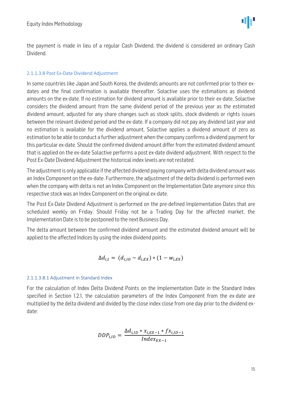the payment is made in lieu of a regular Cash Dividend, the dividend is considered an ordinary Cash Dividend.

#### 2.1.1.3.8 Post Ex-Date Dividend Adjustment

In some countries like Japan and South Korea, the dividends amounts are not confirmed prior to their exdates and the final confirmation is available thereafter. Solactive uses the estimations as dividend amounts on the ex-date. If no estimation for dividend amount is available prior to their ex-date, Solactive considers the dividend amount from the same dividend period of the previous year as the estimated dividend amount, adjusted for any share changes such as stock splits, stock dividends or rights issues between the relevant dividend period and the ex-date. If a company did not pay any dividend last year and no estimation is available for the dividend amount, Solactive applies a dividend amount of zero as estimation to be able to conduct a further adjustment when the company confirms a dividend payment for this particular ex-date. Should the confirmed dividend amount differ from the estimated dividend amount that is applied on the ex-date Solactive performs a post ex-date dividend adjustment. With respect to the Post Ex-Date Dividend Adjustment the historical index levels are not restated.

The adjustment is only applicable if the affected dividend paying company with delta dividend amount was an Index Component on the ex-date. Furthermore, the adjustment of the delta dividend is performed even when the company with delta is not an Index Component on the Implementation Date anymore since this respective stock was an Index Component on the original ex-date.

The Post Ex-Date Dividend Adjustment is performed on the pre-defined Implementation Dates that are scheduled weekly on Friday. Should Friday not be a Trading Day for the affected market, the Implementation Date is to be postponed to the next Business Day.

The delta amount between the confirmed dividend amount and the estimated dividend amount will be applied to the affected Indices by using the index dividend points.

$$
\Delta d_{i,t} = (d_{i,ID} - d_{i,EX}) * (1 - w_{i,EX})
$$

#### 2.1.1.3.8.1 Adjustment in Standard Index

For the calculation of Index Delta Dividend Points on the Implementation Date in the Standard Index specified in Section 1.2.1, the calculation parameters of the Index Component from the ex-date are multiplied by the delta dividend and divided by the close index close from one day prior to the dividend exdate:

$$
DDP_{i,ID} = \frac{\Delta d_{i,ID} * x_{i,EX-1} * fx_{i,ID-1}}{Index_{EX-1}}
$$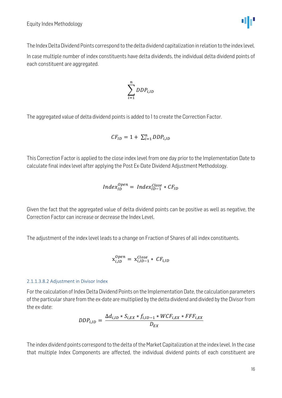

$$
\sum_{i=1}^n DDP_{i, ID}
$$

The aggregated value of delta dividend points is added to 1 to create the Correction Factor.

$$
CF_{ID} = 1 + \sum_{i=1}^{n} DDP_{i, ID}
$$

This Correction Factor is applied to the close index level from one day prior to the Implementation Date to calculate final index level after applying the Post Ex-Date Dividend Adjustment Methodology.

$$
Index_{ID}^{Open} = Index_{ID-1}^{Close} * CF_{ID}
$$

Given the fact that the aggregated value of delta dividend points can be positive as well as negative, the Correction Factor can increase or decrease the Index Level.

The adjustment of the index level leads to a change on Fraction of Shares of all index constituents.

$$
x_{i,ID}^{Open} = x_{i,ID-1}^{Close} * CF_{i,ID}
$$

#### 2.1.1.3.8.2 Adjustment in Divisor Index

For the calculation of Index Delta Dividend Points on the Implementation Date, the calculation parameters of the particular share from the ex-date are multiplied by the delta dividend and divided by the Divisor from the ex-date:

$$
DDP_{i,ID} = \frac{\Delta d_{i,ID} * S_{i,EX} * f_{i,ID-1} * WCF_{i,EX} * FFF_{i,EX}}{D_{EX}}
$$

The index dividend points correspond to the delta of the Market Capitalization at the index level. In the case that multiple Index Components are affected, the individual dividend points of each constituent are

ΨР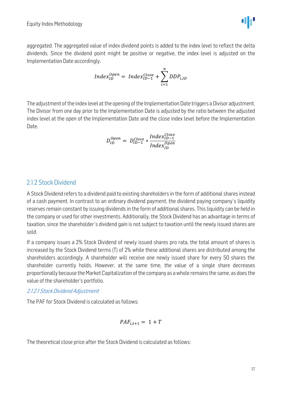

$$
Index_{ID}^{Open} = Index_{ID-1}^{Close} + \sum_{i=1}^{n} DDP_{i,ID}
$$

The adjustment of the index level at the opening of the Implementation Date triggers a Divisor adjustment. The Divisor from one day prior to the Implementation Date is adjusted by the ratio between the adjusted index level at the open of the Implementation Date and the close index level before the Implementation Date.

$$
D_{ID}^{Open} = D_{ID-1}^{Close} * \frac{Index_{ID-1}^{Close}}{Index_{ID}^{Open}}
$$

#### <span id="page-16-0"></span>2.1.2 Stock Dividend

A Stock Dividend refers to a dividend paid to existing shareholders in the form of additional shares instead of a cash payment. In contrast to an ordinary dividend payment, the dividend paying company`s liquidity reserves remain constant by issuing dividends in the form of additional shares. This liquidity can be held in the company or used for other investments. Additionally, the Stock Dividend has an advantage in terms of taxation, since the shareholder`s dividend gain is not subject to taxation until the newly issued shares are sold.

If a company issues a 2% Stock Dividend of newly issued shares pro rata, the total amount of shares is increased by the Stock Dividend terms (T) of 2% while these additional shares are distributed among the shareholders accordingly. A shareholder will receive one newly issued share for every 50 shares the shareholder currently holds. However, at the same time, the value of a single share decreases proportionally because the Market Capitalization of the company as a whole remains the same, as does the value of the shareholder's portfolio.

#### 2.1.2.1 Stock Dividend Adjustment

The PAF for Stock Dividend is calculated as follows:

$$
PAF_{i,t+1} = 1 + T
$$

The theoretical close price after the Stock Dividend is calculated as follows:

dμ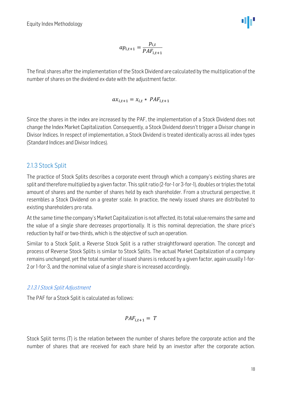$$
ap_{i,t+1} = \frac{p_{i,t}}{PAF_{i,t+1}}
$$

The final shares after the implementation of the Stock Dividend are calculated by the multiplication of the number of shares on the dividend ex-date with the adjustment factor.

$$
ax_{i,t+1} = x_{i,t} * PAF_{i,t+1}
$$

Since the shares in the index are increased by the PAF, the implementation of a Stock Dividend does not change the Index Market Capitalization. Consequently, a Stock Dividend doesn't trigger a Divisor change in Divisor Indices. In respect of implementation, a Stock Dividend is treated identically across all index types (Standard Indices and Divisor Indices).

#### <span id="page-17-0"></span>2.1.3 Stock Split

The practice of Stock Splits describes a corporate event through which a company's existing shares are split and therefore multiplied by a given factor. This split ratio (2-for-1 or 3-for-1), doubles or triples the total amount of shares and the number of shares held by each shareholder. From a structural perspective, it resembles a Stock Dividend on a greater scale. In practice, the newly issued shares are distributed to existing shareholders pro rata.

At the same time the company's Market Capitalization is not affected, its total value remains the same and the value of a single share decreases proportionally. It is this nominal depreciation, the share price's reduction by half or two-thirds, which is the objective of such an operation.

Similar to a Stock Split, a Reverse Stock Split is a rather straightforward operation. The concept and process of Reverse Stock Splits is similar to Stock Splits. The actual Market Capitalization of a company remains unchanged, yet the total number of issued shares is reduced by a given factor, again usually 1-for-2 or 1-for-3, and the nominal value of a single share is increased accordingly.

#### 2.1.3.1 Stock Split Adjustment

The PAF for a Stock Split is calculated as follows:

$$
PAF_{i,t+1} = T
$$

Stock Split terms (T) is the relation between the number of shares before the corporate action and the number of shares that are received for each share held by an investor after the corporate action.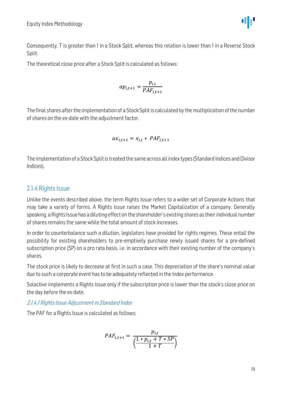

Consequently, T is greater than 1 in a Stock Split, whereas this relation is lower than 1 in a Reverse Stock Split.

The theoretical close price after a Stock Split is calculated as follows:

$$
ap_{i,t+1} = \frac{p_{i,t}}{PAF_{i,t+1}}
$$

The final shares after the implementation of a Stock Split is calculated by the multiplication of the number of shares on the ex-date with the adjustment factor.

$$
ax_{i,t+1} = x_{i,t} * PAF_{i,t+1}
$$

The implementation of a Stock Split is treated the same across all index types (Standard Indices and Divisor Indices).

#### <span id="page-18-0"></span>2.1.4 Rights Issue

Unlike the events described above, the term Rights Issue refers to a wider set of Corporate Actions that may take a variety of forms. A Rights Issue raises the Market Capitalization of a company. Generally speaking, a Rights Issue has a diluting effect on the shareholder's existing shares as their individual number of shares remains the same while the total amount of stock increases.

In order to counterbalance such a dilution, legislators have provided for rights regimes. These entail the possibility for existing shareholders to pre-emptively purchase newly issued shares for a pre-defined subscription price (SP) on a pro rata basis, i.e. in accordance with their existing number of the company's shares.

The stock price is likely to decrease at first in such a case. This depreciation of the share's nominal value due to such a corporate event has to be adequately reflected in the Index performance.

Solactive implements a Rights Issue only if the subscription price is lower than the stock's close price on the day before the ex-date.

2.1.4.1 Rights Issue Adjustment in Standard Index

The PAF for a Rights Issue is calculated as follows:

$$
PAF_{i,t+1} = \frac{p_{i,t}}{\left(\frac{1 * p_{i,t} + T * SP}{1 + T}\right)}
$$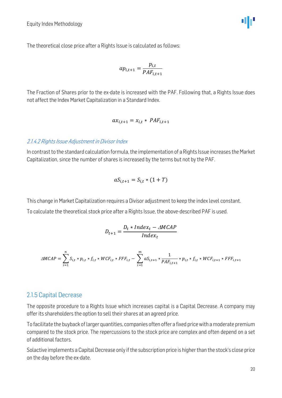Equity Index Methodology

The theoretical close price after a Rights Issue is calculated as follows:

$$
ap_{i,t+1} = \frac{p_{i,t}}{PAF_{i,t+1}}
$$

The Fraction of Shares prior to the ex-date is increased with the PAF. Following that, a Rights Issue does not affect the Index Market Capitalization in a Standard Index.

$$
ax_{i,t+1} = x_{i,t} * PAF_{i,t+1}
$$

#### 2.1.4.2 Rights Issue Adjustment in Divisor Index

In contrast to the standard calculation formula, the implementation of a Rights Issue increases the Market Capitalization, since the number of shares is increased by the terms but not by the PAF.

$$
aS_{i,t+1} = S_{i,t} * (1+T)
$$

This change in Market Capitalization requires a Divisor adjustment to keep the index level constant. To calculate the theoretical stock price after a Rights Issue, the above-described PAF is used.

$$
D_{t+1} = \frac{D_t * Index_t - AMCAP}{Index_t}
$$

$$
\triangle MCAP = \sum_{i=1}^{n} S_{i,t} * p_{i,t} * f_{i,t} * WCF_{i,t} * FFF_{i,t} - \sum_{i=1}^{m} aS_{i,t+1} * \frac{1}{PAF_{i,t+1}} * p_{i,t} * f_{i,t} * WCF_{i,t+1} * FFF_{i,t+1}
$$

#### <span id="page-19-0"></span>2.1.5 Capital Decrease

The opposite procedure to a Rights Issue which increases capital is a Capital Decrease. A company may offer its shareholders the option to sell their shares at an agreed price.

To facilitate the buyback of larger quantities, companies often offer a fixed price with a moderate premium compared to the stock price. The repercussions to the stock price are complex and often depend on a set of additional factors.

Solactive implements a Capital Decrease only if the subscription price is higher than the stock's close price on the day before the ex-date.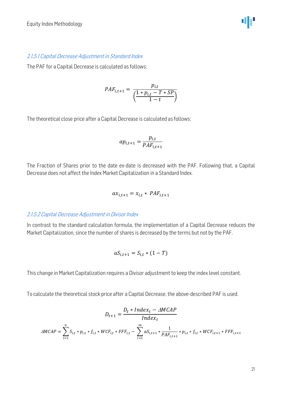#### 2.1.5.1 Capital Decrease Adjustment in Standard Index

The PAF for a Capital Decrease is calculated as follows:

$$
PAF_{i,t+1} = \frac{p_{i,t}}{\left(\frac{1 * p_{i,t} - T * SP}{1 - t}\right)}
$$

The theoretical close price after a Capital Decrease is calculated as follows:

$$
ap_{i,t+1} = \frac{p_{i,t}}{PAF_{i,t+1}}
$$

The Fraction of Shares prior to the date ex-date is decreased with the PAF. Following that, a Capital Decrease does not affect the Index Market Capitalization in a Standard Index.

$$
ax_{i,t+1} = x_{i,t} * PAF_{i,t+1}
$$

#### 2.1.5.2 Capital Decrease Adjustment in Divisor Index

In contrast to the standard calculation formula, the implementation of a Capital Decrease reduces the Market Capitalization, since the number of shares is decreased by the terms but not by the PAF.

$$
aS_{i,t+1} = S_{i,t} * (1 - T)
$$

This change in Market Capitalization requires a Divisor adjustment to keep the index level constant.

To calculate the theoretical stock price after a Capital Decrease, the above-described PAF is used.

$$
D_{t+1} = \frac{D_t * Index_t - \triangle MCAP}{Index_t}
$$
  

$$
\triangle MCAP = \sum_{i=1}^n S_{i,t} * p_{i,t} * f_{i,t} * WCF_{i,t} * FFF_{i,t} - \sum_{i=1}^m aS_{i,t+1} * \frac{1}{PAF_{i,t+1}} * p_{i,t} * f_{i,t} * WCF_{i,t+1} * FFF_{i,t+1}
$$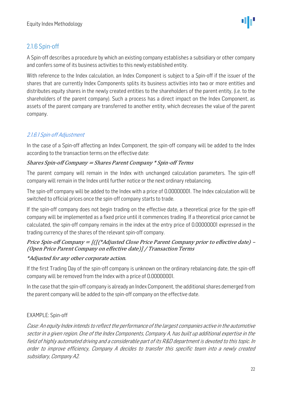## <span id="page-21-0"></span>2.1.6 Spin-off

A Spin-off describes a procedure by which an existing company establishes a subsidiary or other company and confers some of its business activities to this newly established entity.

With reference to the Index calculation, an Index Component is subject to a Spin-off if the issuer of the shares that are currently Index Components splits its business activities into two or more entities and distributes equity shares in the newly created entities to the shareholders of the parent entity, (i.e. to the shareholders of the parent company). Such a process has a direct impact on the Index Component, as assets of the parent company are transferred to another entity, which decreases the value of the parent company.

### 2.1.6.1 Spin-off Adjustment

In the case of a Spin-off affecting an Index Component, the spin-off company will be added to the Index according to the transaction terms on the effective date:

#### Shares Spin-off Company = Shares Parent Company \* Spin-off Terms

The parent company will remain in the Index with unchanged calculation parameters. The spin-off company will remain in the Index until further notice or the next ordinary rebalancing.

The spin-off company will be added to the Index with a price of 0.00000001. The Index calculation will be switched to official prices once the spin-off company starts to trade.

If the spin-off company does not begin trading on the effective date, a theoretical price for the spin-off company will be implemented as a fixed price until it commences trading. If a theoretical price cannot be calculated, the spin-off company remains in the index at the entry price of 0.00000001 expressed in the trading currency of the shares of the relevant spin-off company.

#### Price Spin-off Company = [([(\*Adjusted Close Price Parent Company prior to effective date) – (Open Price Parent Company on effective date)] / Transaction Terms

#### \*Adjusted for any other corporate action.

If the first Trading Day of the spin-off company is unknown on the ordinary rebalancing date, the spin-off company will be removed from the Index with a price of 0.00000001.

In the case that the spin-off company is already an Index Component, the additional shares demerged from the parent company will be added to the spin-off company on the effective date.

#### EXAMPLE: Spin-off

Case: An equity Index intends to reflect the performance of the largest companies active in the automotive sector in a given region. One of the Index Components, Company A, has built up additional expertise in the field of highly automated driving and a considerable part of its R&D department is devoted to this topic. In order to improve efficiency, Company A decides to transfer this specific team into a newly created subsidiary, Company A2.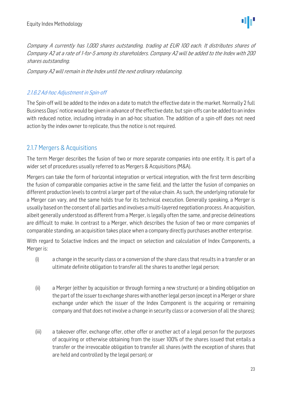Company A currently has 1,000 shares outstanding, trading at EUR 100 each. It distributes shares of Company A2 at a rate of 1-for-5 among its shareholders. Company A2 will be added to the Index with 200 shares outstanding.

Company A2 will remain in the Index until the next ordinary rebalancing.

#### 2.1.6.2 Ad-hoc Adjustment in Spin-off

The Spin-off will be added to the index on a date to match the effective date in the market. Normally 2 full Business Days' notice would be given in advance of the effective date, but spin-offs can be added to an index with reduced notice, including intraday in an ad-hoc situation. The addition of a spin-off does not need action by the index owner to replicate, thus the notice is not required.

#### <span id="page-22-0"></span>2.1.7 Mergers & Acquisitions

The term Merger describes the fusion of two or more separate companies into one entity. It is part of a wider set of procedures usually referred to as Mergers & Acquisitions (M&A).

Mergers can take the form of horizontal integration or vertical integration, with the first term describing the fusion of comparable companies active in the same field, and the latter the fusion of companies on different production levels to control a larger part of the value chain. As such, the underlying rationale for a Merger can vary, and the same holds true for its technical execution. Generally speaking, a Merger is usually based on the consent of all parties and involves a multi-layered negotiation process. An acquisition, albeit generally understood as different from a Merger, is legally often the same, and precise delineations are difficult to make. In contrast to a Merger, which describes the fusion of two or more companies of comparable standing, an acquisition takes place when a company directly purchases another enterprise.

With regard to Solactive Indices and the impact on selection and calculation of Index Components, a Merger is:

- (i) a change in the security class or a conversion of the share class that results in a transfer or an ultimate definite obligation to transfer all the shares to another legal person;
- (ii) a Merger (either by acquisition or through forming a new structure) or a binding obligation on the part of the issuer to exchange shares with another legal person (except in a Merger or share exchange under which the issuer of the Index Component is the acquiring or remaining company and that does not involve a change in security class or a conversion of all the shares);
- (iii) a takeover offer, exchange offer, other offer or another act of a legal person for the purposes of acquiring or otherwise obtaining from the issuer 100% of the shares issued that entails a transfer or the irrevocable obligation to transfer all shares (with the exception of shares that are held and controlled by the legal person); or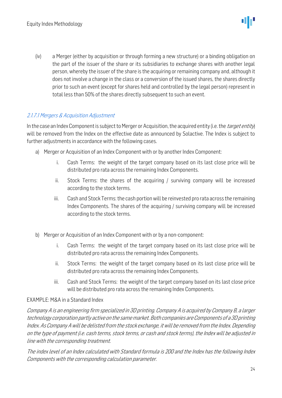(iv) a Merger (either by acquisition or through forming a new structure) or a binding obligation on the part of the issuer of the share or its subsidiaries to exchange shares with another legal person, whereby the issuer of the share is the acquiring or remaining company and, although it does not involve a change in the class or a conversion of the issued shares, the shares directly prior to such an event (except for shares held and controlled by the legal person) represent in total less than 50% of the shares directly subsequent to such an event.

#### 2.1.7.1 Mergers & Acquisition Adjustment

In the case an Index Component is subject to Merger or Acquisition, the acquired entity (i.e. the *target entity*) will be removed from the Index on the effective date as announced by Solactive. The Index is subject to further adjustments in accordance with the following cases.

- a) Merger or Acquisition of an Index Component with or by another Index Component:
	- i. Cash Terms: the weight of the target company based on its last close price will be distributed pro rata across the remaining Index Components.
	- ii. Stock Terms: the shares of the acquiring / surviving company will be increased according to the stock terms.
	- iii. Cash and Stock Terms: the cash portion will be reinvested pro rata across the remaining Index Components. The shares of the acquiring / surviving company will be increased according to the stock terms.
- b) Merger or Acquisition of an Index Component with or by a non-component:
	- i. Cash Terms: the weight of the target company based on its last close price will be distributed pro rata across the remaining Index Components.
	- ii. Stock Terms: the weight of the target company based on its last close price will be distributed pro rata across the remaining Index Components.
	- iii. Cash and Stock Terms: the weight of the target company based on its last close price will be distributed pro rata across the remaining Index Components.

#### EXAMPLE: M&A in a Standard Index

Company A is an engineering firm specialized in 3D printing. Company A is acquired by Company B, a larger technology corporation partly active on the same market. Both companies are Components of a 3D printing Index. As Company A will be delisted from the stock exchange, it will be removed from the Index. Depending on the type of payment (i.e. cash terms, stock terms, or cash and stock terms), the Index will be adjusted in line with the corresponding treatment.

The index level of an Index calculated with Standard formula is 200 and the Index has the following Index Components with the corresponding calculation parameter.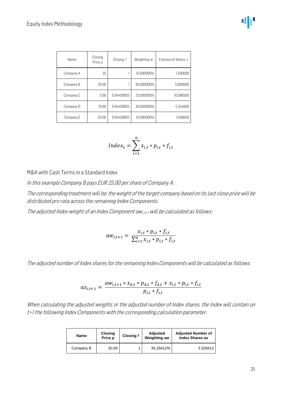| Name      | Closing<br>Price $\rho$ | Closing f  | Weighting $w$ | Fraction of Shares x |
|-----------|-------------------------|------------|---------------|----------------------|
| Company A | 25                      |            | 15.000000%    | 1.200000             |
| Company B | 20.00                   |            | 30.000000%    | 3.000000             |
| Company C | 5.00                    | 0.94459925 | 25.000000%    | 10.586500            |
| Company D | 10.00                   | 0.94459925 | 20.000000%    | 4.234600             |
| Company E | 20.00                   | 0.94459925 | 10.000000%    | 1.058650             |

$$
Index_t = \sum_{i=1}^{n} x_{i,t} * p_{i,t} * f_{i,t}
$$

M&A with Cash Terms in a Standard Index

In this example Company B pays EUR 25.00 per share of Company A.

The corresponding treatment will be: the weight of the target company based on its last close price will be distributed pro rata across the remaining Index Components.

The adjusted Index weight of an Index Component awi, t+1 will be calculated as follows:

$$
aw_{i,t+1} = \frac{x_{i,t} * p_{i,t} * f_{i,t}}{\sum_{i=1}^{n} x_{i,t} * p_{i,t} * f_{i,t}}
$$

The adjusted number of Index shares for the remaining Index Components will be calculated as follows:

$$
ax_{i,t+1} = \frac{aw_{i,t+1} * x_{A,t} * p_{A,t} * f_{A,t} + x_{i,t} * p_{i,t} * f_{i,t}}{p_{i,t} * f_{i,t}}
$$

When calculating the adjusted weights or the adjusted number of Index shares, the Index will contain on t+1 the following Index Components with the corresponding calculation parameter.

| Closing<br><b>Name</b><br>Price p |       | Closing f | Adjusted<br>Weighting aw | <b>Adjusted Number of</b><br><b>Index Shares ax</b> |
|-----------------------------------|-------|-----------|--------------------------|-----------------------------------------------------|
| Company B                         | 20.00 |           | 35.29412%                | 3.529412                                            |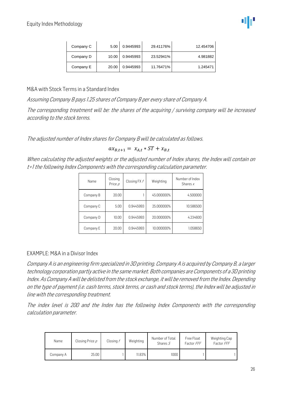| Company C | 5.00  | 0.9445993 | 29.41176% | 12.454706 |
|-----------|-------|-----------|-----------|-----------|
| Company D | 10.00 | 0.9445993 | 23.52941% | 4.981882  |
| Company E | 20.00 | 0.9445993 | 11.76471% | 1.245471  |

#### M&A with Stock Terms in a Standard Index

Assuming Company B pays 1.25 shares of Company B per every share of Company A.

The corresponding treatment will be: the shares of the acquiring / surviving company will be increased according to the stock terms.

The adjusted number of Index shares for Company B will be calculated as follows.

 $ax_{R,t+1} = x_{A,t} * ST + x_{R,t}$ 

When calculating the adjusted weights or the adjusted number of Index shares, the Index will contain on t+1 the following Index Components with the corresponding calculation parameter.

| Name      | Closing<br>Price $\rho$ | Closing FX f | Weighting  | Number of Index<br>Shares $x$ |
|-----------|-------------------------|--------------|------------|-------------------------------|
| Company B | 20.00                   |              | 45.000000% | 4.500000                      |
| Company C | 5.00                    | 0.9445993    | 25.000000% | 10.586500                     |
| Company D | 10.00                   | 0.9445993    | 20.000000% | 4.234600                      |
| Company E | 20.00                   | 0.9445993    | 10.000000% | 1.058650                      |

#### EXAMPLE: M&A in a Divisor Index

Company A is an engineering firm specialized in 3D printing. Company A is acquired by Company B, a larger technology corporation partly active in the same market. Both companies are Components of a 3D printing Index. As Company A will be delisted from the stock exchange, it will be removed from the Index. Depending on the type of payment (i.e. cash terms, stock terms, or cash and stock terms), the Index will be adjusted in line with the corresponding treatment.

The index level is 200 and the Index has the following Index Components with the corresponding calculation parameter.

| Name      | Closing Price p | Closing f | Weighting | Number of Total<br>Shares $S$ | Free Float<br>Factor FFF | Weighting Cap<br>Factor FFF |
|-----------|-----------------|-----------|-----------|-------------------------------|--------------------------|-----------------------------|
| Company A | 25.00           |           | 11.83%    | 1000                          |                          |                             |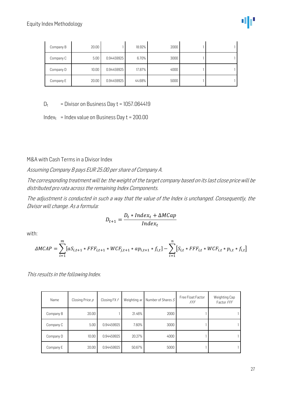| Company B | 20.00 |            | 18.92% | 2000 |  |
|-----------|-------|------------|--------|------|--|
| Company C | 5.00  | 0.94459925 | 6.70%  | 3000 |  |
| Company D | 10.00 | 0.94459925 | 17.87% | 4000 |  |
| Company E | 20.00 | 0.94459925 | 44.68% | 5000 |  |

 $D_t$  = Divisor on Business Day  $t = 1057.064419$ 

Indext = Index value on Business Day  $t = 200.00$ 

M&A with Cash Terms in a Divisor Index

Assuming Company B pays EUR 25.00 per share of Company A.

The corresponding treatment will be: the weight of the target company based on its last close price will be distributed pro rata across the remaining Index Components.

The adjustment is conducted in such a way that the value of the Index is unchanged. Consequently, the Divisor will change. As a formula:

$$
D_{t+1} = \frac{D_t * Index_t + \Delta MCap}{Index_t}
$$

with:

$$
\Delta MCAP = \sum_{i=1}^{m} [aS_{i,t+1} * FFF_{i,t+1} * WCF_{j,t+1} * ap_{i,t+1} * f_{i,t}] - \sum_{i=1}^{n} [S_{i,t} * FFF_{i,t} * WCF_{i,t} * p_{i,t} * f_{i,t}]
$$

This results in the following Index.

| Name      | Closing Price p | Closing FX f | Weighting $w$ | Number of Shares $S$ | Free Float Factor<br>FFF | Weighting Cap<br>Factor FFF |
|-----------|-----------------|--------------|---------------|----------------------|--------------------------|-----------------------------|
| Company B | 20.00           |              | 21.46%        | 2000                 |                          |                             |
| Company C | 5.00            | 0.94459925   | 7.60%         | 3000                 |                          |                             |
| Company D | 10.00           | 0.94459925   | 20.27%        | 4000                 |                          |                             |
| Company E | 20.00           | 0.94459925   | 50.67%        | 5000                 |                          |                             |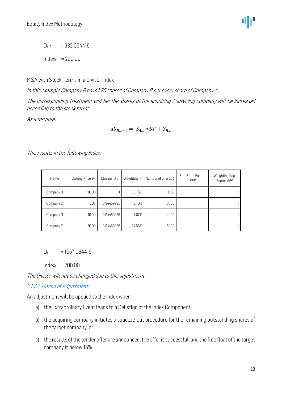$D_{t+1}$  = 932.064419

 $Index_t$  = 200.00

M&A with Stock Terms in a Divisor Index

In this example Company B pays 1.25 shares of Company B per every share of Company A.

The corresponding treatment will be: the shares of the acquiring / surviving company will be increased according to the stock terms.

As a formula:

$$
aS_{B,t+1} = S_{A,t} * ST + S_{B,t}
$$

This results in the following Index.

| Name      | Closing Price $\rho$ | Closing FX f | Weighting $w$ | Number of Shares S | Free Float Factor<br>FFF | Weighting Cap<br>Factor FFF |
|-----------|----------------------|--------------|---------------|--------------------|--------------------------|-----------------------------|
| Company B | 20.00                |              | 30.75%        | 3250               |                          |                             |
| Company C | 5.00                 | 0.94459925   | 6.70%         | 3000               |                          |                             |
| Company D | 10.00                | 0.94459925   | 17.87%        | 4000               |                          |                             |
| Company E | 20.00                | 0.94459925   | 44.68%        | 5000               |                          |                             |

 $D_t = 1057.064419$ 

 $Index_t$  = 200.00

The Divisor will not be changed due to this adjustment.

#### 2.1.7.2 Timing of Adjustment

An adjustment will be applied to the Index when:

- a) the Extraordinary Event leads to a Delisting of the Index Component;
- b) the acquiring company initiates a squeeze-out procedure for the remaining outstanding shares of the target company; or
- c) the results of the tender offer are announced, the offer is successful, and the free float of the target company is below 15%.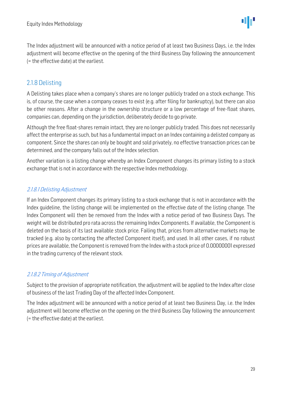The Index adjustment will be announced with a notice period of at least two Business Days, i.e. the Index adjustment will become effective on the opening of the third Business Day following the announcement (= the effective date) at the earliest.

#### <span id="page-28-0"></span>2.1.8 Delisting

A Delisting takes place when a company's shares are no longer publicly traded on a stock exchange. This is, of course, the case when a company ceases to exist (e.g. after filing for bankruptcy), but there can also be other reasons. After a change in the ownership structure or a low percentage of free-float shares, companies can, depending on the jurisdiction, deliberately decide to go private.

Although the free float-shares remain intact, they are no longer publicly traded. This does not necessarily affect the enterprise as such, but has a fundamental impact on an Index containing a delisted company as component. Since the shares can only be bought and sold privately, no effective transaction prices can be determined, and the company falls out of the Index selection.

Another variation is a listing change whereby an Index Component changes its primary listing to a stock exchange that is not in accordance with the respective Index methodology.

#### 2.1.8.1 Delisting Adjustment

If an Index Component changes its primary listing to a stock exchange that is not in accordance with the Index guideline, the listing change will be implemented on the effective date of the listing change. The Index Component will then be removed from the Index with a notice period of two Business Days. The weight will be distributed pro rata across the remaining Index Components. If available, the Component is deleted on the basis of its last available stock price. Failing that, prices from alternative markets may be tracked (e.g. also by contacting the affected Component itself), and used. In all other cases, if no robust prices are available, the Component is removed from the Index with a stock price of 0.00000001 expressed in the trading currency of the relevant stock.

#### 2.1.8.2 Timing of Adjustment

Subject to the provision of appropriate notification, the adjustment will be applied to the Index after close of business of the last Trading Day of the affected Index Component.

The Index adjustment will be announced with a notice period of at least two Business Day, i.e. the Index adjustment will become effective on the opening on the third Business Day following the announcement (= the effective date) at the earliest.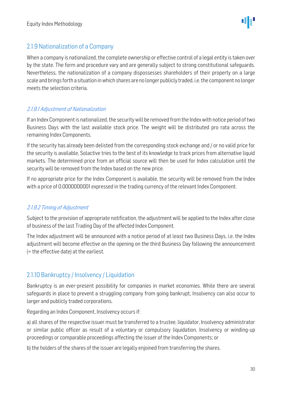### <span id="page-29-0"></span>2.1.9 Nationalization of a Company

When a company is nationalized, the complete ownership or effective control of a legal entity is taken over by the state. The form and procedure vary and are generally subject to strong constitutional safeguards. Nevertheless, the nationalization of a company dispossesses shareholders of their property on a large scale and brings forth a situation in which shares are no longer publicly traded, i.e. the component no longer meets the selection criteria.

#### 2.1.9.1 Adjustment of Nationalization

If an Index Component is nationalized, the security will be removed from the Index with notice period of two Business Days with the last available stock price. The weight will be distributed pro rata across the remaining Index Components.

If the security has already been delisted from the corresponding stock exchange and / or no valid price for the security is available, Solactive tries to the best of its knowledge to track prices from alternative liquid markets. The determined price from an official source will then be used for Index calculation until the security will be removed from the Index based on the new price.

If no appropriate price for the Index Component is available, the security will be removed from the Index with a price of 0.0000000001 expressed in the trading currency of the relevant Index Component.

#### 2.1.9.2 Timing of Adjustment

Subject to the provision of appropriate notification, the adjustment will be applied to the Index after close of business of the last Trading Day of the affected Index Component.

The Index adjustment will be announced with a notice period of at least two Business Days, i.e. the Index adjustment will become effective on the opening on the third Business Day following the announcement (= the effective date) at the earliest.

### <span id="page-29-1"></span>2.1.10 Bankruptcy / Insolvency / Liquidation

Bankruptcy is an ever-present possibility for companies in market economies. While there are several safeguards in place to prevent a struggling company from going bankrupt, Insolvency can also occur to larger and publicly traded corporations.

Regarding an Index Component, Insolvency occurs if:

a) all shares of the respective issuer must be transferred to a trustee, liquidator, Insolvency administrator or similar public officer as result of a voluntary or compulsory liquidation, Insolvency or winding-up proceedings or comparable proceedings affecting the issuer of the Index Components; or

b) the holders of the shares of the issuer are legally enjoined from transferring the shares.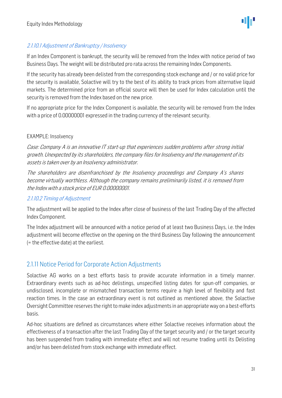

#### 2.1.10.1 Adjustment of Bankruptcy / Insolvency

If an Index Component is bankrupt, the security will be removed from the Index with notice period of two Business Days. The weight will be distributed pro rata across the remaining Index Components.

If the security has already been delisted from the corresponding stock exchange and / or no valid price for the security is available, Solactive will try to the best of its ability to track prices from alternative liquid markets. The determined price from an official source will then be used for Index calculation until the security is removed from the Index based on the new price.

If no appropriate price for the Index Component is available, the security will be removed from the Index with a price of 0.00000001 expressed in the trading currency of the relevant security.

#### EXAMPLE: Insolvency

Case: Company A is an innovative IT start-up that experiences sudden problems after strong initial growth. Unexpected by its shareholders, the company files for Insolvency and the management of its assets is taken over by an Insolvency administrator.

The shareholders are disenfranchised by the Insolvency proceedings and Company A's shares become virtually worthless. Although the company remains preliminarily listed, it is removed from the Index with a stock price of EUR 0.00000001.

#### 2.1.10.2 Timing of Adjustment

The adjustment will be applied to the Index after close of business of the last Trading Day of the affected Index Component.

The Index adjustment will be announced with a notice period of at least two Business Days, i.e. the Index adjustment will become effective on the opening on the third Business Day following the announcement (= the effective date) at the earliest.

#### <span id="page-30-0"></span>2.1.11 Notice Period for Corporate Action Adjustments

Solactive AG works on a best efforts basis to provide accurate information in a timely manner. Extraordinary events such as ad-hoc delistings, unspecified listing dates for spun-off companies, or undisclosed, incomplete or mismatched transaction terms require a high level of flexibility and fast reaction times. In the case an extraordinary event is not outlined as mentioned above, the Solactive Oversight Committee reserves the right to make index adjustments in an appropriate way on a best-efforts basis.

Ad-hoc situations are defined as circumstances where either Solactive receives information about the effectiveness of a transaction after the last Trading Day of the target security and / or the target security has been suspended from trading with immediate effect and will not resume trading until its Delisting and/or has been delisted from stock exchange with immediate effect.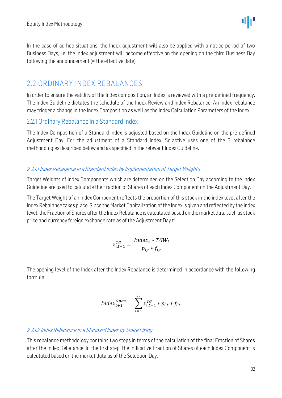In the case of ad-hoc situations, the Index adjustment will also be applied with a notice period of two Business Days, i.e. the Index adjustment will become effective on the opening on the third Business Day following the announcement (= the effective date).

### <span id="page-31-0"></span>2.2 ORDINARY INDEX REBALANCES

In order to ensure the validity of the Index composition, an Index is reviewed with a pre-defined frequency. The Index Guideline dictates the schedule of the Index Review and Index Rebalance. An Index rebalance may trigger a change in the Index Composition as well as the Index Calculation Parameters of the Index.

#### <span id="page-31-1"></span>2.2.1 Ordinary Rebalance in a Standard Index

The Index Composition of a Standard Index is adjusted based on the Index Guideline on the pre-defined Adjustment Day. For the adjustment of a Standard Index, Solactive uses one of the 3 rebalance methodologies described below and as specified in the relevant Index Guideline.

#### 2.2.1.1 Index Rebalance in a Standard Index by Implementation of Target Weights

Target Weights of Index Components which are determined on the Selection Day according to the Index Guideline are used to calculate the Fraction of Shares of each Index Component on the Adjustment Day.

The Target Weight of an Index Component reflects the proportion of this stock in the index level after the Index Rebalance takes place. Since the Market Capitalization of the Indexis given and reflected by the index level, the Fraction of Shares after the Index Rebalance is calculated based on the market data such as stock price and currency foreign exchange rate as of the Adjustment Day t:

$$
x_{i,t+1}^{TG} = \frac{Index_t * TGW_i}{p_{i,t} * f_{i,t}}
$$

The opening level of the Index after the Index Rebalance is determined in accordance with the following formula:

$$
Index_{t+1}^{Open} = \sum_{i=1}^{n} x_{i,t+1}^{TG} * p_{i,t} * f_{i,t}
$$

#### 2.2.1.2 Index Rebalance in a Standard Index by Share Fixing

This rebalance methodology contains two steps in terms of the calculation of the final Fraction of Shares after the Index Rebalance. In the first step, the indicative Fraction of Shares of each Index Component is calculated based on the market data as of the Selection Day.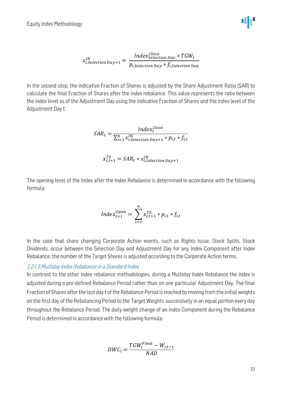Equity Index Methodology

$$
x_{i,Selection\ Day+1}^{IN} = \frac{Index^{Close}_{Selection\ Day} * TGW_{i}}{p_{i,Selection\ Day} * f_{i,Selection\ Day}}
$$

In the second step, the indicative Fraction of Shares is adjusted by the Share Adjustment Ratio (SAR) to calculate the final Fraction of Shares after the index rebalance. This value represents the ratio between the index level as of the Adjustment Day using the indicative Fraction of Shares and the index level of the Adjustment Day t.

$$
SAR_t = \frac{Index_t^{Close}}{\sum_{i=1}^{n} x_{i,Selection\,Day+1}^{IN} * p_{i,t} * f_{i,t}}
$$

$$
x_{i,t+1}^{TG} = SAR_t * x_{i,Selection\ Day+1}^{IN}
$$

The opening level of the Index after the Index Rebalance is determined in accordance with the following formula:

$$
Index_{t+1}^{Open} = \sum_{i=1}^{n} x_{i,t+1}^{TG} * p_{i,t} * f_{i,t}
$$

In the case that share changing Corporate Action events, such as Rights Issue, Stock Splits, Stock Dividends, occur between the Selection Day and Adjustment Day for any Index Component after Index Rebalance, the number of the Target Shares is adjusted according to the Corporate Action terms.

#### 2.2.1.3 Multiday Index Rebalance in <sup>a</sup> Standard Index

In contrast to the other index rebalance methodologies, during a Multiday Index Rebalance the index is adjusted during a pre-defined Rebalance Period rather than on one particular Adjustment Day. The final Fraction of Shares after the last day t of the Rebalance Period is reached by moving from the initial weights on the first day of the Rebalancing Period to the Target Weights successively in an equal portion every day throughout the Rebalance Period. The daily weight change of an Index Component during the Rebalance Period is determined in accordance with the following formula:

$$
DWC_i = \frac{TGW_i^{Final} - W_{i,t-1}}{NAD}
$$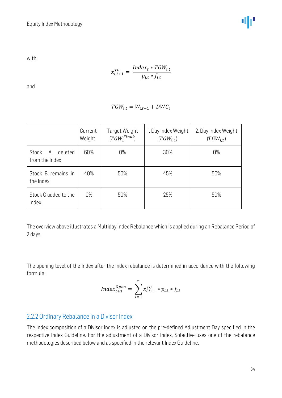with:

$$
x_{i,t+1}^{TG} = \frac{Index_t * TGW_{i,t}}{p_{i,t} * f_{i,t}}
$$

and

$$
TGW_{i,t} = W_{i,t-1} + DWC_i
$$

|                                         | Current<br>Weight | Target Weight<br>$(TGW_i^{Final})$ | 1. Day Index Weight<br>$(TGW_{i.1})$ | 2. Day Index Weight<br>$(TGW_{i,2})$ |
|-----------------------------------------|-------------------|------------------------------------|--------------------------------------|--------------------------------------|
| deleted<br>Stock<br>A<br>from the Index | 60%               | $0\%$                              | 30%                                  | $0\%$                                |
| Stock B remains in<br>the Index         | 40%               | 50%                                | 45%                                  | 50%                                  |
| Stock C added to the<br>Index           | $0\%$             | 50%                                | 25%                                  | 50%                                  |

The overview above illustrates a Multiday Index Rebalance which is applied during an Rebalance Period of 2 days.

The opening level of the Index after the index rebalance is determined in accordance with the following formula:

$$
Index_{t+1}^{Open} = \sum_{i=1}^{n} x_{i,t+1}^{TG} * p_{i,t} * f_{i,t}
$$

#### <span id="page-33-0"></span>2.2.2 Ordinary Rebalance in a Divisor Index

The index composition of a Divisor Index is adjusted on the pre-defined Adjustment Day specified in the respective Index Guideline. For the adjustment of a Divisor Index, Solactive uses one of the rebalance methodologies described below and as specified in the relevant Index Guideline.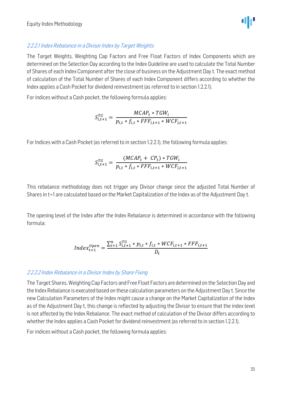

#### 2.2.2.1 Index Rebalance in a Divisor Index by Target Weights

The Target Weights, Weighting Cap Factors and Free Float Factors of Index Components which are determined on the Selection Day according to the Index Guideline are used to calculate the Total Number of Shares of each Index Component after the close of business on the Adjustment Day t. The exact method of calculation of the Total Number of Shares of each Index Component differs according to whether the Index applies a Cash Pocket for dividend reinvestment (as referred to in section 1.2.2.1).

For indices without a Cash pocket, the following formula applies:

$$
S_{i,t+1}^{TG} = \frac{MCAP_t * TGW_i}{p_{i,t} * f_{i,t} * FFF_{i,t+1} * WCF_{i,t+1}}
$$

For Indices with a Cash Pocket (as referred to in section 1.2.2.1), the following formula applies:

$$
S_{i,t+1}^{TG} = \frac{(MCAP_t + CP_t) * TGW_i}{p_{i,t} * f_{i,t} * FFF_{i,t+1} * WCF_{i,t+1}}
$$

This rebalance methodology does not trigger any Divisor change since the adjusted Total Number of Shares in t+1 are calculated based on the Market Capitalization of the Index as of the Adjustment Day t.

The opening level of the Index after the Index Rebalance is determined in accordance with the following formula:

$$
Index_{t+1}^{Open} = \frac{\sum_{i=1}^{n} S_{i,t+1}^{TG} * p_{i,t} * f_{i,t} * WCF_{i,t+1} * FFF_{i,t+1}}{D_t}
$$

#### 2.2.2.2 Index Rebalance in a Divisor Index by Share Fixing

The Target Shares, Weighting Cap Factors and Free Float Factors are determined on the Selection Day and the Index Rebalance is executed based on these calculation parameters on the Adjustment Day t. Since the new Calculation Parameters of the Index might cause a change on the Market Capitalization of the Index as of the Adjustment Day t, this change is reflected by adjusting the Divisor to ensure that the index level is not affected by the Index Rebalance. The exact method of calculation of the Divisor differs according to whether the Index applies a Cash Pocket for dividend reinvestment (as referred to in section 1.2.2.1).

For indices without a Cash pocket, the following formula applies: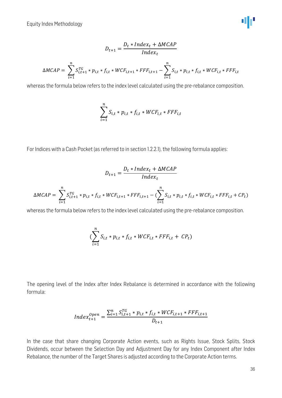Equity Index Methodology

$$
D_{t+1} = \frac{D_t * Index_t + \Delta MCAP}{Index_t}
$$
  

$$
\Delta MCAP = \sum_{i=1}^{n} S_{i,t+1}^{TG} * p_{i,t} * f_{i,t} * WCF_{i,t+1} * FFF_{i,t+1} - \sum_{i=1}^{n} S_{i,t} * p_{i,t} * f_{i,t} * WCF_{i,t} * FFF_{i,t}
$$

whereas the formula below refers to the index level calculated using the pre-rebalance composition.

$$
\sum_{i=1}^{n} S_{i,t} * p_{i,t} * f_{i,t} * WCF_{i,t} * FFF_{i,t}
$$

For Indices with a Cash Pocket (as referred to in section 1.2.2.1), the following formula applies:

$$
D_{t+1} = \frac{D_t * Index_t + \Delta MCAP}{Index_t}
$$
  
\n
$$
\Delta MCAP = \sum_{i=1}^{n} S_{i,t+1}^{TG} * p_{i,t} * f_{i,t} * WCF_{i,t+1} * FFF_{i,t+1} - (\sum_{i=1}^{n} S_{i,t} * p_{i,t} * f_{i,t} * WCF_{i,t} * FFF_{i,t} + CP_t)
$$

whereas the formula below refers to the index level calculated using the pre-rebalance composition.

$$
(\sum_{i=1}^n S_{i,t} * p_{i,t} * f_{i,t} * WCF_{i,t} * FFF_{i,t} + CP_t)
$$

The opening level of the Index after Index Rebalance is determined in accordance with the following formula:

$$
Index_{t+1}^{Open} = \frac{\sum_{i=1}^{n} S_{i,t+1}^{TG} * p_{i,t} * f_{i,t} * WCF_{i,t+1} * FFF_{i,t+1}}{D_{t+1}}
$$

In the case that share changing Corporate Action events, such as Rights Issue, Stock Splits, Stock Dividends, occur between the Selection Day and Adjustment Day for any Index Component after Index Rebalance, the number of the Target Shares is adjusted according to the Corporate Action terms.

40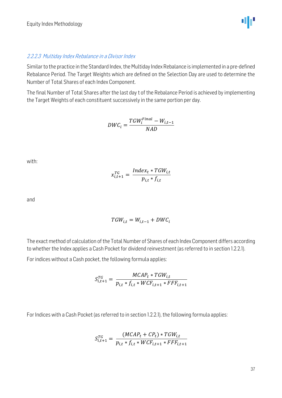40

#### 2.2.2.3 Multiday Index Rebalance in a Divisor Index

Similar to the practice in the Standard Index, the Multiday Index Rebalance is implemented in a pre-defined Rebalance Period. The Target Weights which are defined on the Selection Day are used to determine the Number of Total Shares of each Index Component.

The final Number of Total Shares after the last day t of the Rebalance Period is achieved by implementing the Target Weights of each constituent successively in the same portion per day.

$$
DWC_i = \frac{TGW_i^{Final} - W_{i,t-1}}{NAD}
$$

with:

$$
x_{i,t+1}^{TG} = \frac{Index_t * TGW_{i,t}}{p_{i,t} * f_{i,t}}
$$

and

$$
TGW_{i,t} = W_{i,t-1} + DWC_i
$$

The exact method of calculation of the Total Number of Shares of each Index Component differs according to whether the Index applies a Cash Pocket for dividend reinvestment (as referred to in section 1.2.2.1).

For indices without a Cash pocket, the following formula applies:

$$
S_{i,t+1}^{TG} = \frac{MCAP_t * TGW_{i,t}}{p_{i,t} * f_{i,t} * WCF_{i,t+1} * FFF_{i,t+1}}
$$

For Indices with a Cash Pocket (as referred to in section 1.2.2.1), the following formula applies:

$$
S_{i,t+1}^{TG} = \frac{(MCAP_t + CP_t) * TGW_{i,t}}{p_{i,t} * f_{i,t} * WCF_{i,t+1} * FFF_{i,t+1}}
$$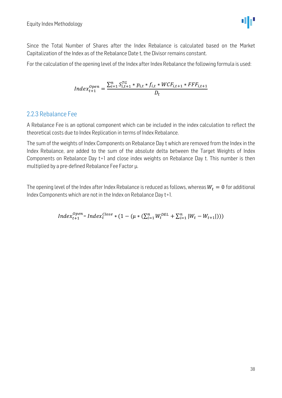

Since the Total Number of Shares after the Index Rebalance is calculated based on the Market Capitalization of the Index as of the Rebalance Date t, the Divisor remains constant.

For the calculation of the opening level of the Index after Index Rebalance the following formula is used:

$$
Index_{t+1}^{Open} = \frac{\sum_{i=1}^{n} S_{i,t+1}^{TG} * p_{i,t} * f_{i,t} * WCF_{i,t+1} * FFF_{i,t+1}}{D_t}
$$

#### <span id="page-37-0"></span>2.2.3 Rebalance Fee

A Rebalance Fee is an optional component which can be included in the index calculation to reflect the theoretical costs due to Index Replication in terms of Index Rebalance.

The sum of the weights of Index Components on Rebalance Day t which are removed from the Index in the Index Rebalance, are added to the sum of the absolute delta between the Target Weights of Index Components on Rebalance Day t+1 and close index weights on Rebalance Day t. This number is then multiplied by a pre-defined Rebalance Fee Factor  $\mu$ .

The opening level of the Index after Index Rebalance is reduced as follows, whereas  $W_t = 0$  for additional Index Components which are not in the Index on Rebalance Day t+1.

$$
Index_{t+1}^{Open} = Index_{t}^{Close} * (1 - (\mu * (\sum_{i=1}^{n} W_{t}^{DEL} + \sum_{i=1}^{n} |W_{t} - W_{t+1}|)))
$$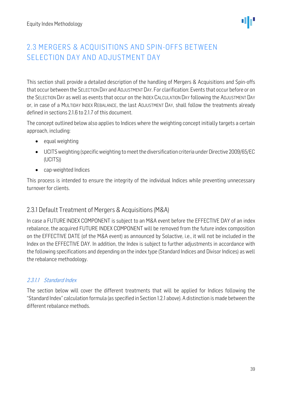ΨР

## <span id="page-38-0"></span>2.3 MERGERS & ACQUISITIONS AND SPIN-OFFS BETWEEN SELECTION DAY AND ADJUSTMENT DAY

This section shall provide a detailed description of the handling of Mergers & Acquisitions and Spin-offs that occur between the SELECTION DAY and ADJUSTMENT DAY. For clarification: Events that occur before or on the SELECTION DAY as well as events that occur on the INDEX CALCULATION DAY following the ADJUSTMENT DAY or, in case of a MULTIDAY INDEX REBALANCE, the last ADJUSTMENT DAY, shall follow the treatments already defined in sections 2.1.6 to 2.1.7 of this document.

The concept outlined below also applies to Indices where the weighting concept initially targets a certain approach, including:

- equal weighting
- UCITS weighting (specific weighting to meet the diversification criteria under Directive 2009/65/EC (UCITS))
- cap-weighted Indices

This process is intended to ensure the integrity of the individual Indices while preventing unnecessary turnover for clients.

### <span id="page-38-1"></span>2.3.1 Default Treatment of Mergers & Acquisitions (M&A)

In case a FUTURE INDEX COMPONENT is subject to an M&A event before the EFFECTIVE DAY of an index rebalance, the acquired FUTURE INDEX COMPONENT will be removed from the future index composition on the EFFECTIVE DATE (of the M&A event) as announced by Solactive, i.e., it will not be included in the Index on the EFFECTIVE DAY. In addition, the Index is subject to further adjustments in accordance with the following specifications and depending on the index type (Standard Indices and Divisor Indices) as well the rebalance methodology.

#### 2.3.1.1 Standard Index

The section below will cover the different treatments that will be applied for Indices following the "Standard Index" calculation formula (as specified in Section 1.2.1 above). A distinction is made between the different rebalance methods.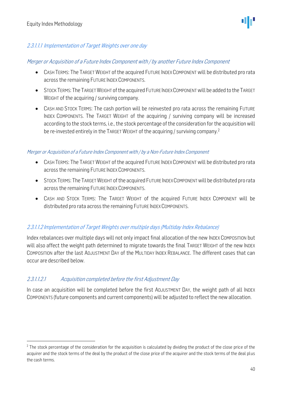#### 2.3.1.1.1 Implementation of Target Weights over one day

#### Merger or Acquisition of a Future Index Component with / by another Future Index Component

- CASH TERMS: The TARGET WEIGHT of the acquired FUTURE INDEX COMPONENT will be distributed pro rata across the remaining FUTURE INDEX COMPONENTS.
- STOCK TERMS: The TARGET WEIGHT of the acquired FUTURE INDEX COMPONENT will be added to the TARGET WEIGHT of the acquiring / surviving company.
- CASH AND STOCK TERMS: The cash portion will be reinvested pro rata across the remaining FUTURE INDEX COMPONENTS. The TARGET WEIGHT of the acquiring / surviving company will be increased according to the stock terms, i.e., the stock percentage of the consideration for the acquisition will be re-invested entirely in the TARGET WEIGHT of the acquiring / surviving company.<sup>2</sup>

#### Merger or Acquisition of a Future Index Component with / by a Non-Future Index Component

- CASH TERMS: The TARGET WEIGHT of the acquired FUTURE INDEX COMPONENT will be distributed pro rata across the remaining FUTURE INDEX COMPONENTS.
- STOCK TERMS: The TARGET WEIGHT of the acquired FUTURE INDEX COMPONENT will be distributed pro rata across the remaining FUTURE INDEX COMPONENTS.
- CASH AND STOCK TERMS: The TARGET WEIGHT of the acquired FUTURE INDEX COMPONENT will be distributed pro rata across the remaining FUTURE INDEX COMPONENTS.

#### 2.3.1.1.2 Implementation of Target Weights over multiple days (Multiday Index Rebalance)

Index rebalances over multiple days will not only impact final allocation of the new INDEX COMPOSITION but will also affect the weight path determined to migrate towards the final TARGET WEIGHT of the new INDEX COMPOSITION after the last ADJUSTMENT DAY of the MULTIDAY INDEX REBALANCE. The different cases that can occur are described below.

#### 2.3.1.1.2.1 Acquisition completed before the first Adjustment Day

In case an acquisition will be completed before the first ADJUSTMENT DAY, the weight path of all INDEX COMPONENTS (future components and current components) will be adjusted to reflect the new allocation.

 $2$  The stock percentage of the consideration for the acquisition is calculated by dividing the product of the close price of the acquirer and the stock terms of the deal by the product of the close price of the acquirer and the stock terms of the deal plus the cash terms.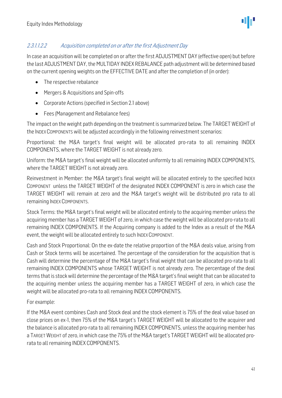ΨР

#### 2.3.1.1.2.2 Acquisition completed on or after the first Adjustment Day

In case an acquisition will be completed on or after the first ADJUSTMENT DAY (effective open) but before the last ADJUSTMENT DAY, the MULTIDAY INDEX REBALANCE path adjustment will be determined based on the current opening weights on the EFFECTIVE DATE and after the completion of (in order):

- The respective rebalance
- Mergers & Acquisitions and Spin-offs
- Corporate Actions (specified in Section 2.1 above)
- Fees (Management and Rebalance fees)

The impact on the weight path depending on the treatment is summarized below. The TARGET WEIGHT of the INDEX COMPONENTS will be adjusted accordingly in the following reinvestment scenarios:

Proportional: the M&A target's final weight will be allocated pro-rata to all remaining INDEX COMPONENTS, where the TARGET WEIGHT is not already zero.

Uniform: the M&A target's final weight will be allocated uniformly to all remaining INDEX COMPONENTS, where the TARGET WEIGHT is not already zero.

Reinvestment in Member: the M&A target's final weight will be allocated entirely to the specified INDEX COMPONENT unless the TARGET WEIGHT of the designated INDEX COMPONENT is zero in which case the TARGET WEIGHT will remain at zero and the M&A target's weight will be distributed pro rata to all remaining INDEX COMPONENTS.

Stock Terms: the M&A target's final weight will be allocated entirely to the acquiring member unless the acquiring member has a TARGET WEIGHT of zero, in which case the weight will be allocated pro-rata to all remaining INDEX COMPONENTS. If the Acquiring company is added to the Index as a result of the M&A event, the weight will be allocated entirely to such INDEX COMPONENT.

Cash and Stock Proportional: On the ex-date the relative proportion of the M&A deals value, arising from Cash or Stock terms will be ascertained. The percentage of the consideration for the acquisition that is Cash will determine the percentage of the M&A target's final weight that can be allocated pro-rata to all remaining INDEX COMPONENTS whose TARGET WEIGHT is not already zero. The percentage of the deal terms that is stock will determine the percentage of the M&A target's final weight that can be allocated to the acquiring member unless the acquiring member has a TARGET WEIGHT of zero, in which case the weight will be allocated pro-rata to all remaining INDEX COMPONENTS.

For example:

If the M&A event combines Cash and Stock deal and the stock element is 75% of the deal value based on close prices on ex-1, then 75% of the M&A target's TARGET WEIGHT will be allocated to the acquirer and the balance is allocated pro-rata to all remaining INDEX COMPONENTS, unless the acquiring member has a TARGET WEIGHT of zero, in which case the 75% of the M&A target's TARGET WEIGHT will be allocated prorata to all remaining INDEX COMPONENTS.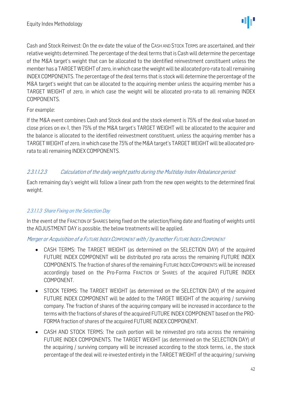Cash and Stock Reinvest: On the ex-date the value of the CASH AND STOCK TERMS are ascertained, and their relative weights determined. The percentage of the deal terms that is Cash will determine the percentage of the M&A target's weight that can be allocated to the identified reinvestment constituent unless the member has a TARGET WEIGHT of zero, in which case the weight will be allocated pro-rata to all remaining INDEX COMPONENTS. The percentage of the deal terms that is stock will determine the percentage of the M&A target's weight that can be allocated to the acquiring member unless the acquiring member has a TARGET WEIGHT of zero, in which case the weight will be allocated pro-rata to all remaining INDEX COMPONENTS.

#### For example:

If the M&A event combines Cash and Stock deal and the stock element is 75% of the deal value based on close prices on ex-1, then 75% of the M&A target's TARGET WEIGHT will be allocated to the acquirer and the balance is allocated to the identified reinvestment constituent, unless the acquiring member has a TARGET WEIGHT of zero, in which case the 75% of the M&A target's TARGET WEIGHT will be allocated prorata to all remaining INDEX COMPONENTS.

#### 2.3.1.1.2.3 Calculation of the daily weight paths during the Multiday Index Rebalance period:

Each remaining day's weight will follow a linear path from the new open weights to the determined final weight.

#### 2.3.1.1.3 Share Fixing on the Selection Day

In the event of the FRACTION OF SHARES being fixed on the selection/fixing date and floating of weights until the ADJUSTMENT DAY is possible, the below treatments will be applied.

#### Merger or Acquisition of a FUTURE INDEX COMPONENT with / by another FUTURE INDEX COMPONENT

- CASH TERMS: The TARGET WEIGHT (as determined on the SELECTION DAY) of the acquired FUTURE INDEX COMPONENT will be distributed pro rata across the remaining FUTURE INDEX COMPONENTS. The fraction of shares of the remaining FUTURE INDEX COMPONENTS will be increased accordingly based on the Pro-Forma FRACTION OF SHARES of the acquired FUTURE INDEX COMPONENT.
- STOCK TERMS: The TARGET WEIGHT (as determined on the SELECTION DAY) of the acquired FUTURE INDEX COMPONENT will be added to the TARGET WEIGHT of the acquiring / surviving company. The fraction of shares of the acquiring company will be increased in accordance to the terms with the fractions of shares of the acquired FUTURE INDEX COMPONENT based on the PRO-FORMA fraction of shares of the acquired FUTURE INDEX COMPONENT.
- CASH AND STOCK TERMS: The cash portion will be reinvested pro rata across the remaining FUTURE INDEX COMPONENTS. The TARGET WEIGHT (as determined on the SELECTION DAY) of the acquiring / surviving company will be increased according to the stock terms, i.e., the stock percentage of the deal will re-invested entirely in the TARGET WEIGHT of the acquiring / surviving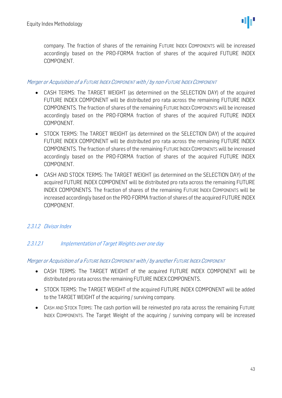company. The fraction of shares of the remaining FUTURE INDEX COMPONENTS will be increased accordingly based on the PRO-FORMA fraction of shares of the acquired FUTURE INDEX COMPONENT.

#### Merger or Acquisition of a FUTURE INDEX COMPONENT with / by non-FUTURE INDEX COMPONENT

- CASH TERMS: The TARGET WEIGHT (as determined on the SELECTION DAY) of the acquired FUTURE INDEX COMPONENT will be distributed pro rata across the remaining FUTURE INDEX COMPONENTS. The fraction of shares of the remaining FUTURE INDEX COMPONENTS will be increased accordingly based on the PRO-FORMA fraction of shares of the acquired FUTURE INDEX COMPONENT.
- STOCK TERMS: The TARGET WEIGHT (as determined on the SELECTION DAY) of the acquired FUTURE INDEX COMPONENT will be distributed pro rata across the remaining FUTURE INDEX COMPONENTS. The fraction of shares of the remaining FUTURE INDEX COMPONENTS will be increased accordingly based on the PRO-FORMA fraction of shares of the acquired FUTURE INDEX COMPONENT.
- CASH AND STOCK TERMS: The TARGET WEIGHT (as determined on the SELECTION DAY) of the acquired FUTURE INDEX COMPONENT will be distributed pro rata across the remaining FUTURE INDEX COMPONENTS. The fraction of shares of the remaining FUTURE INDEX COMPONENTS will be increased accordingly based on the PRO-FORMA fraction of shares of the acquired FUTURE INDEX COMPONENT.

#### 2.3.1.2 Divisor Index

#### 2.3.1.2.1 Implementation of Target Weights over one day

#### Merger or Acquisition of a FUTURE INDEX COMPONENT with / by another FUTURE INDEX COMPONENT

- CASH TERMS: The TARGET WEIGHT of the acquired FUTURE INDEX COMPONENT will be distributed pro rata across the remaining FUTURE INDEX COMPONENTS.
- STOCK TERMS: The TARGET WEIGHT of the acquired FUTURE INDEX COMPONENT will be added to the TARGET WEIGHT of the acquiring / surviving company.
- CASH AND STOCK TERMS: The cash portion will be reinvested pro rata across the remaining FUTURE INDEX COMPONENTS. The Target Weight of the acquiring / surviving company will be increased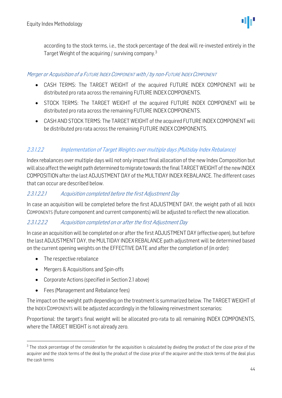according to the stock terms, i.e., the stock percentage of the deal will re-invested entirely in the Target Weight of the acquiring / surviving company.<sup>3</sup>

#### Merger or Acquisition of a FUTURE INDEX COMPONENT with / by non-FUTURE INDEX COMPONENT

- CASH TERMS: The TARGET WEIGHT of the acquired FUTURE INDEX COMPONENT will be distributed pro rata across the remaining FUTURE INDEX COMPONENTS.
- STOCK TERMS: The TARGET WEIGHT of the acquired FUTURE INDEX COMPONENT will be distributed pro rata across the remaining FUTURE INDEX COMPONENTS.
- CASH AND STOCK TERMS: The TARGET WEIGHT of the acquired FUTURE INDEX COMPONENT will be distributed pro rata across the remaining FUTURE INDEX COMPONENTS.

#### 2.3.1.2.2 Implementation of Target Weights over multiple days (Multiday Index Rebalance)

Index rebalances over multiple days will not only impact final allocation of the new Index Composition but will also affect the weight path determined to migrate towards the final TARGET WEIGHT of the new INDEX COMPOSITION after the last ADJUSTMENT DAY of the MULTIDAY INDEX REBALANCE. The different cases that can occur are described below.

#### 2.3.1.2.2.1 Acquisition completed before the first Adjustment Day

In case an acquisition will be completed before the first ADJUSTMENT DAY, the weight path of all INDEX COMPONENTS (future component and current components) will be adjusted to reflect the new allocation.

#### 2.3.1.2.2.2 Acquisition completed on or after the first Adjustment Day

In case an acquisition will be completed on or after the first ADJUSTMENT DAY (effective open), but before the last ADJUSTMENT DAY, the MULTIDAY INDEX REBALANCE path adjustment will be determined based on the current opening weights on the EFFECTIVE DATE and after the completion of (in order):

- The respective rebalance
- Mergers & Acquisitions and Spin-offs
- Corporate Actions (specified in Section 2.1 above)
- Fees (Management and Rebalance fees)

The impact on the weight path depending on the treatment is summarized below. The TARGET WEIGHT of the INDEX COMPONENTS will be adjusted accordingly in the following reinvestment scenarios:

Proportional: the target's final weight will be allocated pro-rata to all remaining INDEX COMPONENTS, where the TARGET WEIGHT is not already zero.

 $3$  The stock percentage of the consideration for the acquisition is calculated by dividing the product of the close price of the acquirer and the stock terms of the deal by the product of the close price of the acquirer and the stock terms of the deal plus the cash terms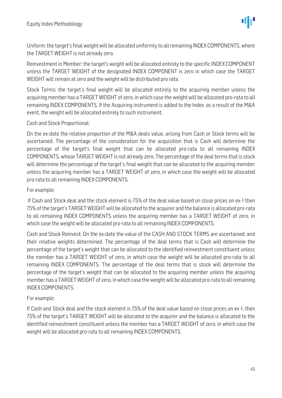Uniform: the target's final weight will be allocated uniformly to all remaining INDEX COMPONENTS, where the TARGET WEIGHT is not already zero.

Reinvestment in Member: the target's weight will be allocated entirely to the specific INDEX COMPONENT unless the TARGET WEIGHT of the designated INDEX COMPONENT is zero in which case the TARGET WEIGHT will remain at zero and the weight will be distributed pro rata.

Stock Terms: the target's final weight will be allocated entirely to the acquiring member unless the acquiring member has a TARGET WEIGHT of zero, in which case the weight will be allocated pro-rata to all remaining INDEX COMPONENTS. If the Acquiring instrument is added to the Index as a result of the M&A event, the weight will be allocated entirely to such instrument.

#### Cash and Stock Proportional:

On the ex-date the relative proportion of the M&A deals value, arising from Cash or Stock terms will be ascertained. The percentage of the consideration for the acquisition that is Cash will determine the percentage of the target's final weight that can be allocated pro-rata to all remaining INDEX COMPONENTS, whose TARGET WEIGHT is not already zero. The percentage of the deal terms that is stock will determine the percentage of the target's final weight that can be allocated to the acquiring member unless the acquiring member has a TARGET WEIGHT of zero, in which case the weight will be allocated pro-rata to all remaining INDEX COMPONENTS.

#### For example:

If Cash and Stock deal and the stock element is 75% of the deal value based on close prices on ex-1 then 75% of the target's TARGET WEIGHT will be allocated to the acquirer and the balance is allocated pro-rata to all remaining INDEX COMPONENTS unless the acquiring member has a TARGET WEIGHT of zero, in which case the weight will be allocated pro-rata to all remaining INDEX COMPONENTS.

Cash and Stock Reinvest: On the ex-date the value of the CASH AND STOCK TERMS are ascertained, and their relative weights determined. The percentage of the deal terms that is Cash will determine the percentage of the target's weight that can be allocated to the identified reinvestment constituent unless the member has a TARGET WEIGHT of zero, in which case the weight will be allocated pro-rata to all remaining INDEX COMPONENTS. The percentage of the deal terms that is stock will determine the percentage of the target's weight that can be allocated to the acquiring member unless the acquiring member has a TARGET WEIGHT of zero, in which case the weight will be allocated pro-rata to all remaining INDEX COMPONENTS.

#### For example:

If Cash and Stock deal and the stock element is 75% of the deal value based on close prices on ex-1, then 75% of the target's TARGET WEIGHT will be allocated to the acquirer and the balance is allocated to the identified reinvestment constituent unless the member has a TARGET WEIGHT of zero, in which case the weight will be allocated pro-rata to all remaining INDEX COMPONENTS.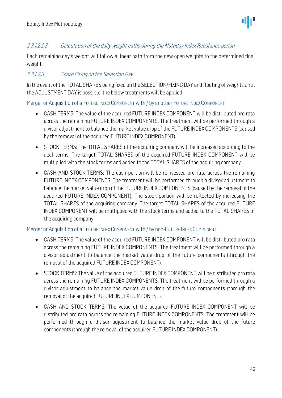#### 2.3.1.2.2.3 Calculation of the daily weight paths during the Multiday Index Rebalance period

Each remaining day's weight will follow a linear path from the new open weights to the determined final weight.

#### 2.3.1.2.3 Share Fixing on the Selection Day

In the event of the TOTAL SHARES being fixed on the SELECTION/FIXING DAY and floating of weights until the ADJUSTMENT DAY is possible, the below treatments will be applied.

Merger or Acquisition of a FUTURE INDEX COMPONENT with / by another FUTURE INDEX COMPONENT

- CASH TERMS: The value of the acquired FUTURE INDEX COMPONENT will be distributed pro rata across the remaining FUTURE INDEX COMPONENTS. The treatment will be performed through a divisor adjustment to balance the market value drop of the FUTURE INDEX COMPONENTS (caused by the removal of the acquired FUTURE INDEX COMPONENT).
- STOCK TERMS: The TOTAL SHARES of the acquiring company will be increased according to the deal terms. The target TOTAL SHARES of the acquired FUTURE INDEX COMPONENT will be multiplied with the stock terms and added to the TOTAL SHARES of the acquiring company.
- CASH AND STOCK TERMS: The cash portion will be reinvested pro rata across the remaining FUTURE INDEX COMPONENTS. The treatment will be performed through a divisor adjustment to balance the market value drop of the FUTURE INDEX COMPONENTS (caused by the removal of the acquired FUTURE INDEX COMPONENT). The stock portion will be reflected by increasing the TOTAL SHARES of the acquiring company. The target TOTAL SHARES of the acquired FUTURE INDEX COMPONENT will be multiplied with the stock terms and added to the TOTAL SHARES of the acquiring company.

#### Merger or Acquisition of a FUTURE INDEX COMPONENT with / by non-FUTURE INDEX COMPONENT

- CASH TERMS: The value of the acquired FUTURE INDEX COMPONENT will be distributed pro rata across the remaining FUTURE INDEX COMPONENTS. The treatment will be performed through a divisor adjustment to balance the market value drop of the future components (through the removal of the acquired FUTURE INDEX COMPONENT).
- STOCK TERMS: The value of the acquired FUTURE INDEX COMPONENT will be distributed pro rata across the remaining FUTURE INDEX COMPONENTS. The treatment will be performed through a divisor adjustment to balance the market value drop of the future components (through the removal of the acquired FUTURE INDEX COMPONENT).
- CASH AND STOCK TERMS: The value of the acquired FUTURE INDEX COMPONENT will be distributed pro rata across the remaining FUTURE INDEX COMPONENTS. The treatment will be performed through a divisor adjustment to balance the market value drop of the future components (through the removal of the acquired FUTURE INDEX COMPONENT).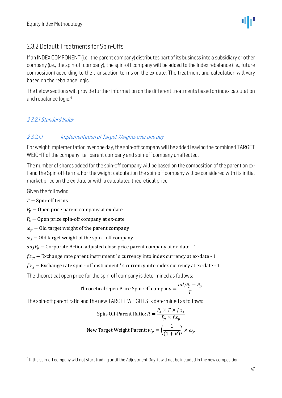ΨР

### <span id="page-46-0"></span>2.3.2 Default Treatments for Spin-Offs

If an INDEX COMPONENT (i.e., the parent company) distributes part of its business into a subsidiary or other company (i.e., the spin-off company), the spin-off company will be added to the Index rebalance (i.e., future composition) according to the transaction terms on the ex-date. The treatment and calculation will vary based on the rebalance logic.

The below sections will provide further information on the different treatments based on index calculation and rebalance logic.<sup>4</sup>

#### 2.3.2.1 Standard Index

#### 2.3.2.1.1 Implementation of Target Weights over one day

For weight implementation over one day, the spin-off company will be added leaving the combined TARGET WEIGHT of the company, i.e., parent company and spin-off company unaffected.

The number of shares added for the spin-off company will be based on the composition of the parent on ex-1 and the Spin-off-terms. For the weight calculation the spin-off company will be considered with its initial market price on the ex-date or with a calculated theoretical price.

Given the following:

 $T -$  Spin-off terms

 $P_p$  – Open price parent company at ex-date

 $P_s$  – Open price spin-off company at ex-date

 $\omega_p$  – Old target weight of the parent company

 $\omega_s$  – Old target weight of the spin - off company

 $adjP<sub>n</sub>$  – Corporate Action adjusted close price parent company at ex-date - 1

 $f_{x_n}$  – Exchange rate parent instrument 's currency into index currency at ex-date - 1

 $f_{x_s}$  – Exchange rate spin - off instrument 's currency into index currency at ex-date - 1

The theoretical open price for the spin-off company is determined as follows:

Theoretical Open Price Spin-Off company = 
$$
\frac{adjP_p - P_p}{T}
$$

The spin-off parent ratio and the new TARGET WEIGHTS is determined as follows:

Spin-Off-Parent Ratio: 
$$
R = \frac{P_s \times T \times fx_s}{P_p \times fx_p}
$$
  
New Target Weight Parent:  $w_p = \left(\frac{1}{(1+R)}\right) \times \omega_p$ 

<sup>&</sup>lt;sup>4</sup> If the spin-off company will not start trading until the Adjustment Day, it will not be included in the new composition.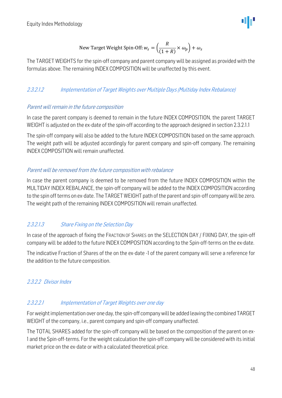New Target Weight Spin-Off: 
$$
w_s = \left(\frac{R}{(1+R)} \times \omega_p\right) + \omega_s
$$

The TARGET WEIGHTS for the spin-off company and parent company will be assigned as provided with the formulas above. The remaining INDEX COMPOSITION will be unaffected by this event.

#### 2.3.2.1.2 Implementation of Target Weights over Multiple Days (Multiday Index Rebalance)

#### Parent will remain in the future composition

In case the parent company is deemed to remain in the future INDEX COMPOSITION, the parent TARGET WEIGHT is adjusted on the ex-date of the spin-off according to the approach designed in section 2.3.2.1.1

The spin-off company will also be added to the future INDEX COMPOSITION based on the same approach. The weight path will be adjusted accordingly for parent company and spin-off company. The remaining INDEX COMPOSITION will remain unaffected.

#### Parent will be removed from the future composition with rebalance

In case the parent company is deemed to be removed from the future INDEX COMPOSITION within the MULTIDAY INDEX REBALANCE, the spin-off company will be added to the INDEX COMPOSITION according to the spin off terms on ex-date. The TARGET WEIGHT path of the parent and spin-off company will be zero. The weight path of the remaining INDEX COMPOSITION will remain unaffected.

#### 2.3.2.1.3 Share Fixing on the Selection Day

In case of the approach of fixing the FRACTION OF SHARES on the SELECTION DAY / FIXING DAY, the spin-off company will be added to the future INDEX COMPOSITION according to the Spin-off-terms on the ex-date.

The indicative Fraction of Shares of the on the ex-date -1 of the parent company will serve a reference for the addition to the future composition.

#### 2.3.2.2 Divisor Index

#### 2.3.2.2.1 Implementation of Target Weights over one day

For weight implementation over one day, the spin-off company will be added leaving the combined TARGET WEIGHT of the company, i.e., parent company and spin-off company unaffected.

The TOTAL SHARES added for the spin-off company will be based on the composition of the parent on ex-1 and the Spin-off-terms. For the weight calculation the spin-off company will be considered with its initial market price on the ex-date or with a calculated theoretical price.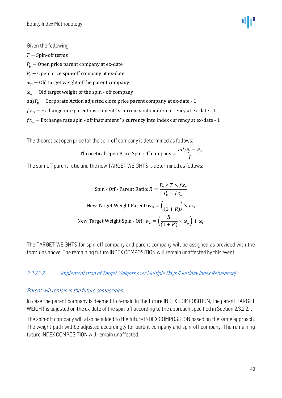

Given the following:

 $T -$ Spin-off terms  $P_p$  − Open price parent company at ex-date  $P_s$  – Open price spin-off company at ex-date  $\omega_p$  – Old target weight of the parent company  $\omega_s$  – Old target weight of the spin - off company  $adjP<sub>n</sub>$  – Corporate Action adjusted close price parent company at ex-date - 1  $f x_p-$  Exchange rate parent instrument ' s currency into index currency at ex-date -  $\bf 1$  $fx_s -$  Exchange rate spin - off instrument 's currency into index currency at ex-date - 1

The theoretical open price for the spin-off company is determined as follows:

Theoretical Open Price Spin-Off company = 
$$
\frac{adjP_p - P_p}{T}
$$

The spin-off parent ratio and the new TARGET WEIGHTS is determined as follows:

Spin - Off - Parent Ratio: 
$$
R = \frac{P_s \times T \times fx_s}{P_p \times fx_p}
$$
  
New Target Weight Parent:  $w_p = \left(\frac{1}{(1+R)}\right) \times \omega_p$   
New Target Weight Spin - Off :  $w_s = \left(\frac{R}{(1+R)} \times \omega_p\right) + \omega_s$ 

The TARGET WEIGHTS for spin-off company and parent company will be assigned as provided with the formulas above. The remaining future INDEX COMPOSITION will remain unaffected by this event.

#### 2.3.2.2.2 Implementation of Target Weights over Multiple Days (Multiday Index Rebalance)

#### Parent will remain in the future composition

In case the parent company is deemed to remain in the future INDEX COMPOSITION, the parent TARGET WEIGHT is adjusted on the ex-date of the spin-off according to the approach specified in Section 2.3.2.2.1.

The spin-off company will also be added to the future INDEX COMPOSITION based on the same approach. The weight path will be adjusted accordingly for parent company and spin-off company. The remaining future INDEX COMPOSITION will remain unaffected.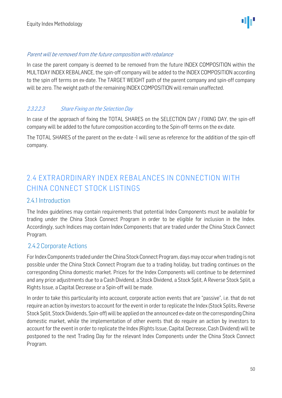ΨР

#### Parent will be removed from the future composition with rebalance

In case the parent company is deemed to be removed from the future INDEX COMPOSITION within the MULTIDAY INDEX REBALANCE, the spin-off company will be added to the INDEX COMPOSITION according to the spin off terms on ex-date. The TARGET WEIGHT path of the parent company and spin-off company will be zero. The weight path of the remaining INDEX COMPOSITION will remain unaffected.

#### 2.3.2.2.3 Share Fixing on the Selection Day

In case of the approach of fixing the TOTAL SHARES on the SELECTION DAY / FIXING DAY, the spin-off company will be added to the future composition according to the Spin-off-terms on the ex-date.

The TOTAL SHARES of the parent on the ex-date -1 will serve as reference for the addition of the spin-off company.

## <span id="page-49-0"></span>2.4 EXTRAORDINARY INDEX REBALANCES IN CONNECTION WITH CHINA CONNECT STOCK LISTINGS

#### <span id="page-49-1"></span>2.4.1 Introduction

The Index guidelines may contain requirements that potential Index Components must be available for trading under the China Stock Connect Program in order to be eligible for inclusion in the Index. Accordingly, such Indices may contain Index Components that are traded under the China Stock Connect Program.

#### <span id="page-49-2"></span>2.4.2 Corporate Actions

For Index Components traded under the China Stock Connect Program, days may occur when trading is not possible under the China Stock Connect Program due to a trading holiday, but trading continues on the corresponding China domestic market. Prices for the Index Components will continue to be determined and any price adjustments due to a Cash Dividend, a Stock Dividend, a Stock Split, A Reverse Stock Split, a Rights Issue, a Capital Decrease or a Spin-off will be made.

In order to take this particularity into account, corporate action events that are "passive", i.e. that do not require an action by investors to account for the event in order to replicate the Index (Stock Splits, Reverse Stock Split, Stock Dividends, Spin-off) will be applied on the announced ex-date on the corresponding China domestic market, while the implementation of other events that do require an action by investors to account for the event in order to replicate the Index(Rights Issue, Capital Decrease, Cash Dividend) will be postponed to the next Trading Day for the relevant Index Components under the China Stock Connect Program.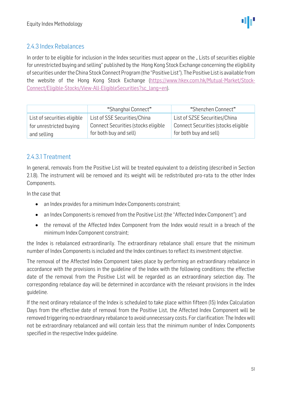### <span id="page-50-0"></span>2.4.3 Index Rebalances

In order to be eligible for inclusion in the Index securities must appear on the "Lists of securities eligible for unrestricted buying and selling" published by the Hong Kong Stock Exchange concerning the eligibility of securities under the China Stock Connect Program (the "Positive List"). The Positive List is available from the website of the Hong Kong Stock Exchange [\(https://www.hkex.com.hk/Mutual-Market/Stock-](https://www.hkex.com.hk/Mutual-Market/Stock-Connect/Eligible-Stocks/View-All-EligibleSecurities?sc_lang=en)[Connect/Eligible-Stocks/View-All-EligibleSecurities?sc\\_lang=en\)](https://www.hkex.com.hk/Mutual-Market/Stock-Connect/Eligible-Stocks/View-All-EligibleSecurities?sc_lang=en).

|                             | "Shanghai Connect"                  | "Shenzhen Connect"                  |
|-----------------------------|-------------------------------------|-------------------------------------|
| List of securities eligible | List of SSE Securities/China        | List of SZSE Securities/China       |
| for unrestricted buying     | Connect Securities (stocks eligible | Connect Securities (stocks eligible |
| and selling                 | for both buy and sell)              | for both buy and sell)              |

#### <span id="page-50-1"></span>2.4.3.1 Treatment

In general, removals from the Positive List will be treated equivalent to a delisting (described in Section 2.1.8). The instrument will be removed and its weight will be redistributed pro-rata to the other Index Components.

In the case that

- an Index provides for a minimum Index Components constraint;
- an Index Components is removed from the Positive List (the "Affected Index Component"); and
- the removal of the Affected Index Component from the Index would result in a breach of the minimum Index Component constraint;

the Index is rebalanced extraordinarily. The extraordinary rebalance shall ensure that the minimum number of Index Components is included and the Index continues to reflect its investment objective.

The removal of the Affected Index Component takes place by performing an extraordinary rebalance in accordance with the provisions in the guideline of the Index with the following conditions: the effective date of the removal from the Positive List will be regarded as an extraordinary selection day. The corresponding rebalance day will be determined in accordance with the relevant provisions in the Index guideline.

If the next ordinary rebalance of the Index is scheduled to take place within fifteen (15) Index Calculation Days from the effective date of removal from the Positive List, the Affected Index Component will be removed triggering no extraordinary rebalance to avoid unnecessary costs. For clarification: The Index will not be extraordinary rebalanced and will contain less that the minimum number of Index Components specified in the respective Index guideline.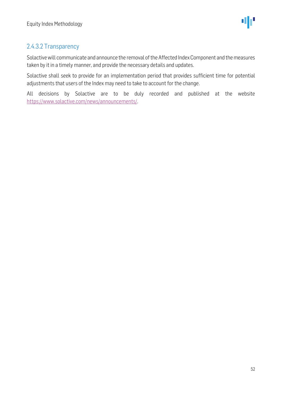### <span id="page-51-0"></span>2.4.3.2 Transparency

Solactive will communicate and announce the removal of the Affected Index Component and the measures taken by it in a timely manner, and provide the necessary details and updates.

Solactive shall seek to provide for an implementation period that provides sufficient time for potential adjustments that users of the Index may need to take to account for the change.

All decisions by Solactive are to be duly recorded and published at the website [https://www.solactive.com/news/announcements/.](https://www.solactive.com/news/announcements/)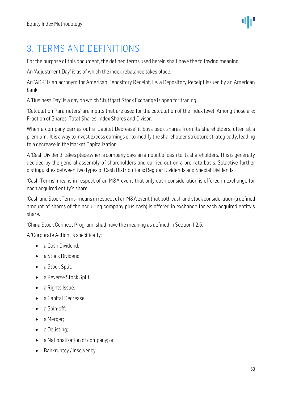

## <span id="page-52-0"></span>3. TERMS AND DEFINITIONS

For the purpose of this document, the defined terms used herein shall have the following meaning:

An 'Adjustment Day' is as of which the index rebalance takes place.

An 'ADR' is an acronym for American Depository Receipt, i.e. a Depository Receipt issued by an American bank.

A 'Business Day' is a day on which Stuttgart Stock Exchange is open for trading.

'Calculation Parameters' are inputs that are used for the calculation of the index level. Among those are: Fraction of Shares, Total Shares, Index Shares and Divisor.

When a company carries out a 'Capital Decrease' it buys back shares from its shareholders, often at a premium. It is a way to invest excess earnings or to modify the shareholder structure strategically, leading to a decrease in the Market Capitalization.

A 'Cash Dividend'takes place when a company pays an amount of cash to its shareholders. This is generally decided by the general assembly of shareholders and carried out on a pro-rata-basis. Solactive further distinguishes between two types of Cash Distributions: Regular Dividends and Special Dividends.

'Cash Terms' means in respect of an M&A event that only cash consideration is offered in exchange for each acquired entity's share.

'Cash and Stock Terms'means in respect of an M&A event that both cash and stock consideration (a defined amount of shares of the acquiring company plus cash) is offered in exchange for each acquired entity's share.

'China Stock Connect Program' shall have the meaning as defined in Section 1.2.5.

A 'Corporate Action' is specifically:

- a Cash Dividend:
- a Stock Dividend:
- a Stock Split;
- a Reverse Stock Split;
- a Rights Issue;
- a Capital Decrease;
- a Spin-off:
- a Merger;
- a Delisting;
- a Nationalization of company; or
- Bankruptcy / Insolvency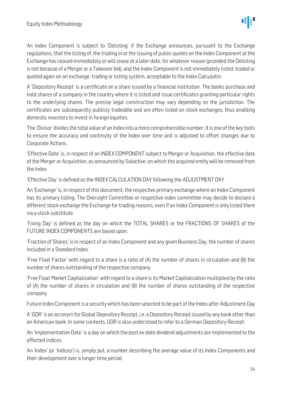An Index Component is subject to 'Delisting' if the Exchange announces, pursuant to the Exchange regulations, that the listing of, the trading in or the issuing of public quotes on the Index Component at the Exchange has ceased immediately or will cease at a later date, for whatever reason (provided the Delisting is not because of a Merger or a Takeover bid), and the Index Component is not immediately listed, traded or quoted again on an exchange, trading or listing system, acceptable to the Index Calculator.

A 'Depository Receipt' is a certificate on a share issued by a financial institution. The banks purchase and hold shares of a company in the country where it is listed and issue certificates granting particular rights to the underlying shares. The precise legal construction may vary depending on the jurisdiction. The certificates are subsequently publicly tradeable and are often listed on stock exchanges, thus enabling domestic investors to invest in foreign equities.

The 'Divisor' divides the total value of an Index into a more comprehensible number. It is one of the key tools to ensure the accuracy and continuity of the Index over time and is adjusted to offset changes due to Corporate Actions.

'Effective Date' is, in respect of an INDEX COMPONENT subject to Merger or Acquisition, the effective date of the Merger or Acquisition, as announced by Solactive, on which the acquired entity will be removed from the Index .

'Effective Day' is defined as the INDEX CALCULATION DAY following the ADJUSTMENT DAY

An 'Exchange' is, in respect of this document, the respective primary exchange where an Index Component has its primary listing. The Oversight Committee or respective index committee may decide to declare a different stock exchange the Exchange for trading reasons, even if an Index Component is only listed there via a stock substitute.

'Fixing Day' is defined as the day on which the TOTAL SHARES or the FRACTIONS OF SHARES of the FUTURE INDEX COMPONENTS are based upon.

'Fraction of Shares' is in respect of an Index Component and any given Business Day, the number of shares included in a Standard Index.

'Free Float Factor' with regard to a share is a ratio of (A) the number of shares in circulation and (B) the number of shares outstanding of the respective company.

'Free Float Market Capitalization' with regard to a share is its Market Capitalization multiplied by the ratio of (A) the number of shares in circulation and (B) the number of shares outstanding of the respective company.

Future Index Component is a security which has been selected to be part of the Index after Adjustment Day

A 'GDR' is an acronym for Global Depository Receipt, i.e. a Depository Receipt issued by any bank other than an American bank. In some contexts, GDR is also understood to refer to a German Depository Receipt.

An 'Implementation Date' is a day on which the post ex-date dividend adjustments are implemented to the affected indices.

An 'Index' (or 'Indices') is, simply put, a number describing the average value of its Index Components and their development over a longer time period.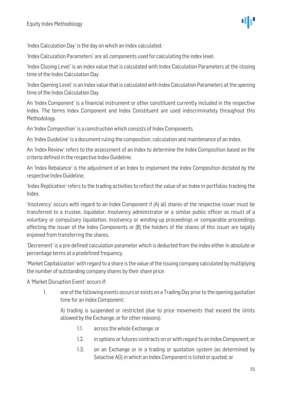'Index Calculation Day' is the day on which an Index calculated.

'Index Calculation Parameters' are all components used for calculating the index level.

'Index Closing Level' is an index value that is calculated with Index Calculation Parameters at the closing time of the Index Calculation Day.

'Index Opening Level' is an index value that is calculated with Index Calculation Parameters at the opening time of the Index Calculation Day.

An 'Index Component' is a financial instrument or other constituent currently included in the respective Index. The terms Index Component and Index Constituent are used indiscriminately throughout this Methodology.

An 'Index Composition' is a construction which consists of Index Components.

An 'Index Guideline' is a document ruling the composition, calculation and maintenance of an Index.

An 'Index Review' refers to the assessment of an Index to determine the Index Composition based on the criteria defined in the respective Index Guideline.

An 'Index Rebalance' is the adjustment of an Index to implement the Index Composition dictated by the respective Index Guideline.

'Index Replication' refers to the trading activities to reflect the value of an Index in portfolios tracking the Index.

'Insolvency' occurs with regard to an Index Component if (A) all shares of the respective issuer must be transferred to a trustee, liquidator, Insolvency administrator or a similar public officer as result of a voluntary or compulsory liquidation, Insolvency or winding-up proceedings or comparable proceedings affecting the issuer of the Index Components or (B) the holders of the shares of this issuer are legally enjoined from transferring the shares.

'Decrement' is a pre-defined calculation parameter which is deducted from the index either in absolute or percentage terms at a predefined frequency.

'Market Capitalization'with regard to a share is the value of the issuing company calculated by multiplying the number of outstanding company shares by their share price.

A 'Market Disruption Event' occurs if:

1. one of the following events occurs or exists on a Trading Day prior to the opening quotation time for an Index Component:

A) trading is suspended or restricted (due to price movements that exceed the limits allowed by the Exchange, or for other reasons):

- 1.1. across the whole Exchange; or
- 1.2. in options or futures contracts on or with regard to an Index Component; or
- 1.3. on an Exchange or in a trading or quotation system (as determined by Solactive AG) in which an Index Component is listed or quoted; or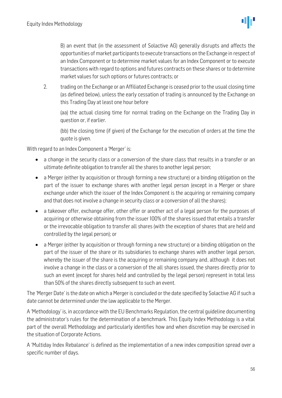B) an event that (in the assessment of Solactive AG) generally disrupts and affects the opportunities of market participants to execute transactions on the Exchange in respect of an Index Component or to determine market values for an Index Component or to execute transactions with regard to options and futures contracts on these shares or to determine market values for such options or futures contracts; or

2. trading on the Exchange or an Affiliated Exchange is ceased prior to the usual closing time (as defined below), unless the early cessation of trading is announced by the Exchange on this Trading Day at least one hour before

(aa) the actual closing time for normal trading on the Exchange on the Trading Day in question or, if earlier.

(bb) the closing time (if given) of the Exchange for the execution of orders at the time the quote is given.

With regard to an Index Component a 'Merger' is:

- a change in the security class or a conversion of the share class that results in a transfer or an ultimate definite obligation to transfer all the shares to another legal person;
- a Merger (either by acquisition or through forming a new structure) or a binding obligation on the part of the issuer to exchange shares with another legal person (except in a Merger or share exchange under which the issuer of the Index Component is the acquiring or remaining company and that does not involve a change in security class or a conversion of all the shares);
- a takeover offer, exchange offer, other offer or another act of a legal person for the purposes of acquiring or otherwise obtaining from the issuer 100% of the shares issued that entails a transfer or the irrevocable obligation to transfer all shares (with the exception of shares that are held and controlled by the legal person); or
- a Merger (either by acquisition or through forming a new structure) or a binding obligation on the part of the issuer of the share or its subsidiaries to exchange shares with another legal person, whereby the issuer of the share is the acquiring or remaining company and, although it does not involve a change in the class or a conversion of the all shares issued, the shares directly prior to such an event (except for shares held and controlled by the legal person) represent in total less than 50% of the shares directly subsequent to such an event.

The 'Merger Date' is the date on which a Merger is concluded or the date specified by Solactive AG if such a date cannot be determined under the law applicable to the Merger.

A 'Methodology' is, in accordance with the EU Benchmarks Regulation, the central guideline documenting the administrator's rules for the determination of a benchmark. This Equity Index Methodology is a vital part of the overall Methodology and particularly identifies how and when discretion may be exercised in the situation of Corporate Actions.

A 'Multiday Index Rebalance' is defined as the implementation of a new index composition spread over a specific number of days.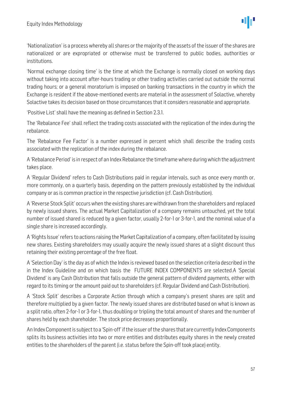'Nationalization' is a process whereby all shares or the majority of the assets of the issuer of the shares are nationalized or are expropriated or otherwise must be transferred to public bodies, authorities or institutions.

'Normal exchange closing time' is the time at which the Exchange is normally closed on working days without taking into account after-hours trading or other trading activities carried out outside the normal trading hours; or a general moratorium is imposed on banking transactions in the country in which the Exchange is resident if the above-mentioned events are material in the assessment of Solactive, whereby Solactive takes its decision based on those circumstances that it considers reasonable and appropriate.

'Positive List' shall have the meaning as defined in Section 2.3.1.

The 'Rebalance Fee' shall reflect the trading costs associated with the replication of the index during the rebalance.

The 'Rebalance Fee Factor' is a number expressed in percent which shall describe the trading costs associated with the replication of the index during the rebalance.

A 'Rebalance Period' is in respect of an Index Rebalance the timeframe where during which the adjustment takes place.

A 'Regular Dividend' refers to Cash Distributions paid in regular intervals, such as once every month or, more commonly, on a quarterly basis, depending on the pattern previously established by the individual company or as is common practice in the respective jurisdiction (cf. Cash Distribution).

A 'Reverse Stock Split' occurs when the existing shares are withdrawn from the shareholders and replaced by newly issued shares. The actual Market Capitalization of a company remains untouched, yet the total number of issued shared is reduced by a given factor, usually 2-for-1 or 3-for-1, and the nominal value of a single share is increased accordingly.

A 'Rights Issue'refers to actions raising the Market Capitalization of a company, often facilitated by issuing new shares. Existing shareholders may usually acquire the newly issued shares at a slight discount thus retaining their existing percentage of the free float.

A 'Selection Day' is the day as of which the Indexis reviewed based on the selection criteria described in the in the Index Guideline and on which basis the FUTURE INDEX COMPONENTS are selected.A 'Special Dividend' is any Cash Distribution that falls outside the general pattern of dividend payments, either with regard to its timing or the amount paid out to shareholders (cf. Regular Dividend and Cash Distribution).

A 'Stock Split' describes a Corporate Action through which a company's present shares are split and therefore multiplied by a given factor. The newly issued shares are distributed based on what is known as a split ratio, often 2-for-1 or 3-for-1, thus doubling or tripling the total amount of shares and the number of shares held by each shareholder. The stock price decreases proportionally.

An Index Component is subject to a 'Spin-off' if the issuer of the shares that are currently Index Components splits its business activities into two or more entities and distributes equity shares in the newly created entities to the shareholders of the parent (i.e. status before the Spin-off took place) entity.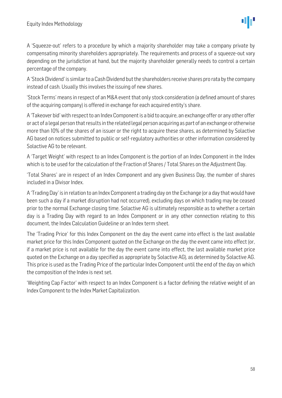A 'Squeeze-out' refers to a procedure by which a majority shareholder may take a company private by compensating minority shareholders appropriately. The requirements and process of a squeeze-out vary depending on the jurisdiction at hand, but the majority shareholder generally needs to control a certain percentage of the company.

A 'Stock Dividend' is similar to a Cash Dividend but the shareholders receive shares pro rata by the company instead of cash. Usually this involves the issuing of new shares.

'Stock Terms' means in respect of an M&A event that only stock consideration (a defined amount of shares of the acquiring company) is offered in exchange for each acquired entity's share.

A 'Takeover bid'with respect to an Index Component is a bid to acquire, an exchange offer or any other offer or act of a legal person that results in the related legal person acquiring as part of an exchange or otherwise more than 10% of the shares of an issuer or the right to acquire these shares, as determined by Solactive AG based on notices submitted to public or self-regulatory authorities or other information considered by Solactive AG to be relevant.

A 'Target Weight' with respect to an Index Component is the portion of an Index Component in the Index which is to be used for the calculation of the Fraction of Shares / Total Shares on the Adjustment Day.

'Total Shares' are in respect of an Index Component and any given Business Day, the number of shares included in a Divisor Index.

A 'Trading Day' is in relation to an Index Component a trading day on the Exchange (or a day that would have been such a day if a market disruption had not occurred), excluding days on which trading may be ceased prior to the normal Exchange closing time. Solactive AG is ultimately responsible as to whether a certain day is a Trading Day with regard to an Index Component or in any other connection relating to this document, the Index Calculation Guideline or an Index term sheet.

The 'Trading Price' for this Index Component on the day the event came into effect is the last available market price for this Index Component quoted on the Exchange on the day the event came into effect (or, if a market price is not available for the day the event came into effect, the last available market price quoted on the Exchange on a day specified as appropriate by Solactive AG), as determined by Solactive AG. This price is used as the Trading Price of the particular Index Component until the end of the day on which the composition of the Index is next set.

'Weighting Cap Factor' with respect to an Index Component is a factor defining the relative weight of an Index Component to the Index Market Capitalization.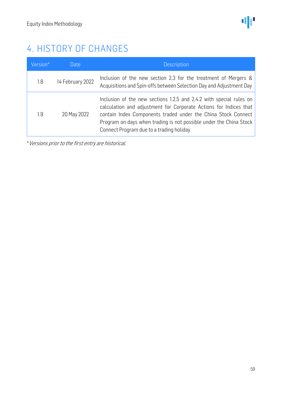## <span id="page-58-0"></span>4. HISTORY OF CHANGES

| Version* | Date             | <b>Description</b>                                                                                                                                                                                                                                                                                                          |
|----------|------------------|-----------------------------------------------------------------------------------------------------------------------------------------------------------------------------------------------------------------------------------------------------------------------------------------------------------------------------|
| 1.8      | 14 February 2022 | Inclusion of the new section 2.3 for the treatment of Mergers &<br>Acquisitions and Spin-offs between Selection Day and Adjustment Day                                                                                                                                                                                      |
| 1.9      | 20 May 2022      | Inclusion of the new sections 1.2.5 and 2.4.2 with special rules on<br>calculation and adjustment for Corporate Actions for Indices that<br>contain Index Components traded under the China Stock Connect<br>Program on days when trading is not possible under the China Stock<br>Connect Program due to a trading holiday |

\*Versions prior to the first entry are historical.